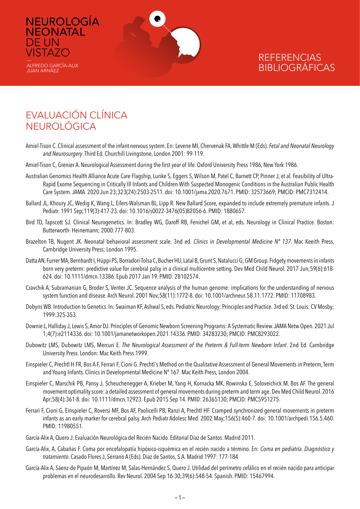

# EVALUACIÓN CLÍNICA NEUROLÓGICA

NEUROLOGÍA

**NEONATAL** 

ALFREDO GARCÍA-ALIX JUAN ARNÁEZ

DE UN **VISTAZO** 

- Amiel-Tison C. Clinical assessment of the infant nervous system. En: Levene MI, Chervenak FA, Whittle M (Eds). *Fetal and Neonatal Neurology and Neurosurgery*. Third Ed. Churchill Livingstone, London 2001: 99-119.
- Amiel-Tison C, Grenier A. Neurological Assessment during the first year of life. Oxford University Press 1986, New York 1986.
- Australian Genomics Health Alliance Acute Care Flagship, Lunke S, Eggers S, Wilson M, Patel C, Barnett CP, Pinner J, et al. Feasibility of Ultra-Rapid Exome Sequencing in Critically Ill Infants and Children With Suspected Monogenic Conditions in the Australian Public Health Care System. JAMA. 2020 Jun 23;323(24):2503-2511. doi: 10.1001/jama.2020.7671. PMID: 32573669; PMCID: PMC7312414.
- Ballard JL, Khoury JC, Wedig K, Wang L, Eilers-Walsman BL, Lipp R. New Ballard Score, expanded to include extremely premature infants. J Pediatr. 1991 Sep;119(3):417-23. doi: 10.1016/s0022-3476(05)82056-6. PMID: 1880657.
- Bird TD, Tapscott SJ. Clinical Neurogenetics. In: Bradley WG, Daroff RB, Fenichel GM, et al, eds. Neurology in Clinical Practice. Boston: Butterworth- Heinemann; 2000:777-803.
- Brazelton TB, Nugent JK. Neonatal behavioral assessment scale. 3nd ed. *Clinics in Developmental Medicine Nº 137*. Mac Keeith Press, Cambridge University Press; London 1995.
- Datta AN, Furrer MA, Bernhardt I, Hüppi PS, Borradori-Tolsa C, Bucher HU, Latal B, Grunt S, Natalucci G; GM Group. Fidgety movements in infants born very preterm: predictive value for cerebral palsy in a clinical multicentre setting. Dev Med Child Neurol. 2017 Jun;59(6):618- 624. doi: 10.1111/dmcn.13386. Epub 2017 Jan 19. PMID: 28102574.
- Cravchik A, Subramanian G, Broder S, Venter JC. Sequence analysis of the human genome: implications for the understanding of nervous system function and disease. Arch Neurol. 2001 Nov;58(11):1772-8. doi: 10.1001/archneur.58.11.1772. PMID: 11708983.
- Dobyns WB. Introduction to Genetics. In: Swaiman KF, Ashwal S, eds. Pediatric Neurology: Principles and Practice. 3rd ed. St. Louis: CV Mosby; 1999:325-353.
- Downie L, Halliday J, Lewis S, Amor DJ. Principles of Genomic Newborn Screening Programs: A Systematic Review. JAMA Netw Open. 2021 Jul 1;4(7):e2114336. doi: 10.1001/jamanetworkopen.2021.14336. PMID: 34283230; PMCID: PMC8293022.
- Dubowitz LMS, Dubowitz LMS, Mercuri E. *The Neurological Assessment of the Preterm & Full-term Newborn Infant*. 2nd Ed. Cambridge University Press. London: Mac Keith Press 1999.
- Einspieler C, Prechtl H FR, Bos A F, Ferrari F, Cioni G. Prechtl´s Method on the Qualitative Assessment of General Movements in Preterm, Term and Young Infants. Clinics in Developmental Medicine Nº 167. Mac Keith Press, London 2004.
- Einspieler C, Marschik PB, Pansy J, Scheuchenegger A, Krieber M, Yang H, Kornacka MK, Rowinska E, Soloveichick M, Bos AF. The general movement optimality score: a detailed assessment of general movements during preterm and term age. Dev Med Child Neurol. 2016 Apr;58(4):361-8. doi: 10.1111/dmcn.12923. Epub 2015 Sep 14. PMID: 26365130; PMCID: PMC5951275.
- Ferrari F, Cioni G, Einspieler C, Roversi MF, Bos AF, Paolicelli PB, Ranzi A, Prechtl HF. Cramped synchronized general movements in preterm infants as an early marker for cerebral palsy. Arch Pediatr Adolesc Med. 2002 May;156(5):460-7. doi: 10.1001/archpedi.156.5.460. PMID: 11980551.
- García-Alix A, Quero J. Evaluación Neurológica del Recién Nacido. Editorial Díaz de Santos. Madrid 2011.
- García-Alix, A, Cabañas F. Coma por encefalopatía hipóxico-isquémica en el recién nacido a término. En: *Coma en pediatría. Diagnóstico y tratamiento*. Casado Flores J, Serrano A (Eds). Diaz de Santos, S.A. Madrid 1997: 177-184
- García-Alix A, Sáenz-de Pipaón M, Martínez M, Salas-Hernández S, Quero J. Utilidad del perímetro cefálico en el recién nacido para anticipar problemas en el neurodesarrollo. Rev Neurol. 2004 Sep 16-30;39(6):548-54. Spanish. PMID: 15467994.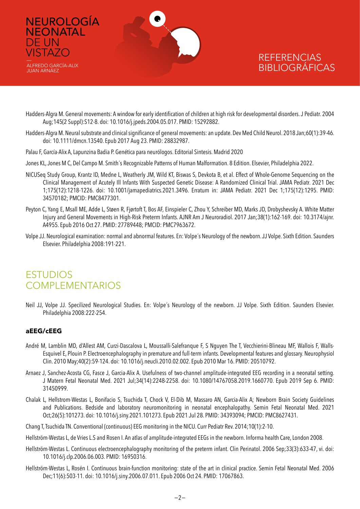

- Hadders-Algra M. General movements: A window for early identification of children at high risk for developmental disorders. J Pediatr. 2004 Aug;145(2 Suppl):S12-8. doi: 10.1016/j.jpeds.2004.05.017. PMID: 15292882.
- Hadders-Algra M. Neural substrate and clinical significance of general movements: an update. Dev Med Child Neurol. 2018 Jan;60(1):39-46. doi: 10.1111/dmcn.13540. Epub 2017 Aug 23. PMID: 28832987.
- Palau F, García-Alix A, Lapunzina Badia P. Genética para neurólogos. Editorial Sintesis. Madrid 2020
- Jones KL, Jones M C, Del Campo M. Smith´s Recognizable Patterns of Human Malformation. 8 Edition. Elsevier, Philadelphia 2022.
- NICUSeq Study Group, Krantz ID, Medne L, Weatherly JM, Wild KT, Biswas S, Devkota B, et al. Effect of Whole-Genome Sequencing on the Clinical Management of Acutely Ill Infants With Suspected Genetic Disease: A Randomized Clinical Trial. JAMA Pediatr. 2021 Dec 1;175(12):1218-1226. doi: 10.1001/jamapediatrics.2021.3496. Erratum in: JAMA Pediatr. 2021 Dec 1;175(12):1295. PMID: 34570182; PMCID: PMC8477301.
- Peyton C, Yang E, Msall ME, Adde L, Støen R, Fjørtoft T, Bos AF, Einspieler C, Zhou Y, Schreiber MD, Marks JD, Drobyshevsky A. White Matter Injury and General Movements in High-Risk Preterm Infants. AJNR Am J Neuroradiol. 2017 Jan;38(1):162-169. doi: 10.3174/ajnr. A4955. Epub 2016 Oct 27. PMID: 27789448; PMCID: PMC7963672.
- Volpe JJ. Neurological examination: normal and abnormal features. En: Volpe´s Neurology of the newborn. JJ Volpe. Sixth Edition. Saunders Elsevier. Philadelphia 2008:191-221.

# ESTUDIOS **COMPLEMENTARIOS**

Neil JJ, Volpe JJ. Specilized Neurological Studies. En: Volpe´s Neurology of the newborn. JJ Volpe. Sixth Edition. Saunders Elsevier. Philadelphia 2008:222-254.

#### **aEEG/cEEG**

DE UN

- André M, Lamblin MD, d'Allest AM, Curzi-Dascalova L, Moussalli-Salefranque F, S Nguyen The T, Vecchierini-Blineau MF, Wallois F, Walls-Esquivel E, Plouin P. Electroencephalography in premature and full-term infants. Developmental features and glossary. Neurophysiol Clin. 2010 May;40(2):59-124. doi: 10.1016/j.neucli.2010.02.002. Epub 2010 Mar 16. PMID: 20510792.
- Arnaez J, Sanchez-Acosta CG, Fasce J, Garcia-Alix A. Usefulness of two-channel amplitude-integrated EEG recording in a neonatal setting. J Matern Fetal Neonatal Med. 2021 Jul;34(14):2248-2258. doi: 10.1080/14767058.2019.1660770. Epub 2019 Sep 6. PMID: 31450999.
- Chalak L, Hellstrom-Westas L, Bonifacio S, Tsuchida T, Chock V, El-Dib M, Massaro AN, Garcia-Alix A; Newborn Brain Society Guidelines and Publications. Bedside and laboratory neuromonitoring in neonatal encephalopathy. Semin Fetal Neonatal Med. 2021 Oct;26(5):101273. doi: 10.1016/j.siny.2021.101273. Epub 2021 Jul 28. PMID: 34393094; PMCID: PMC8627431.
- Chang T, Tsuchida TN. Conventional (continuous) EEG monitoring in the NICU. Curr Pediatr Rev. 2014;10(1):2-10.
- Hellström-Westas L, de Vries L.S and Rosen I. An atlas of amplitude-integrated EEGs in the newborn. Informa health Care, London 2008.
- Hellström-Westas L. Continuous electroencephalography monitoring of the preterm infant. Clin Perinatol. 2006 Sep;33(3):633-47, vi. doi: 10.1016/j.clp.2006.06.003. PMID: 16950316.
- Hellström-Westas L, Rosén I. Continuous brain-function monitoring: state of the art in clinical practice. Semin Fetal Neonatal Med. 2006 Dec;11(6):503-11. doi: 10.1016/j.siny.2006.07.011. Epub 2006 Oct 24. PMID: 17067863.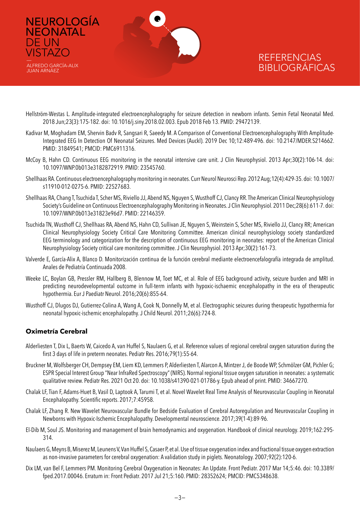

- Hellström-Westas L. Amplitude-integrated electroencephalography for seizure detection in newborn infants. Semin Fetal Neonatal Med. 2018 Jun;23(3):175-182. doi: 10.1016/j.siny.2018.02.003. Epub 2018 Feb 13. PMID: 29472139.
- Kadivar M, Moghadam EM, Shervin Badv R, Sangsari R, Saeedy M. A Comparison of Conventional Electroencephalography With Amplitude-Integrated EEG In Detection Of Neonatal Seizures. Med Devices (Auckl). 2019 Dec 10;12:489-496. doi: 10.2147/MDER.S214662. PMID: 31849541; PMCID: PMC6911316.
- McCoy B, Hahn CD. Continuous EEG monitoring in the neonatal intensive care unit. J Clin Neurophysiol. 2013 Apr;30(2):106-14. doi: 10.1097/WNP.0b013e3182872919. PMID: 23545760.
- Shellhaas RA. Continuous electroencephalography monitoring in neonates. Curr Neurol Neurosci Rep. 2012 Aug;12(4):429-35. doi: 10.1007/ s11910-012-0275-6. PMID: 22527683.
- Shellhaas RA, Chang T, Tsuchida T, Scher MS, Riviello JJ, Abend NS, Nguyen S, Wusthoff CJ, Clancy RR. The American Clinical Neurophysiology Society's Guideline on Continuous Electroencephalography Monitoring in Neonates. J Clin Neurophysiol. 2011 Dec;28(6):611-7. doi: 10.1097/WNP.0b013e31823e96d7. PMID: 22146359.
- Tsuchida TN, Wusthoff CJ, Shellhaas RA, Abend NS, Hahn CD, Sullivan JE, Nguyen S, Weinstein S, Scher MS, Riviello JJ, Clancy RR; American Clinical Neurophysiology Society Critical Care Monitoring Committee. American clinical neurophysiology society standardized EEG terminology and categorization for the description of continuous EEG monitoring in neonates: report of the American Clinical Neurophysiology Society critical care monitoring committee. J Clin Neurophysiol. 2013 Apr;30(2):161-73.
- Valverde E, García-Alix A, Blanco D. Monitorización continua de la función cerebral mediante electroencefalografía integrada de amplitud. Anales de Pediatría Continuada 2008.
- Weeke LC, Boylan GB, Pressler RM, Hallberg B, Blennow M, Toet MC, et al. Role of EEG background activity, seizure burden and MRI in predicting neurodevelopmental outcome in full-term infants with hypoxic-ischaemic encephalopathy in the era of therapeutic hypothermia. Eur J Paediatr Neurol. 2016;20(6):855-64.
- Wusthoff CJ, Dlugos DJ, Gutierrez-Colina A, Wang A, Cook N, Donnelly M, et al. Electrographic seizures during therapeutic hypothermia for neonatal hypoxic-ischemic encephalopathy. J Child Neurol. 2011;26(6):724-8.

#### **Oximetría Cerebral**

DE UN **VISTAZO** 

ALFREDO GARCÍA-ALIX JUAN ARNÁEZ

- Alderliesten T, Dix L, Baerts W, Caicedo A, van Huffel S, Naulaers G, et al. Reference values of regional cerebral oxygen saturation during the first 3 days of life in preterm neonates. Pediatr Res. 2016;79(1):55-64.
- Bruckner M, Wolfsberger CH, Dempsey EM, Liem KD, Lemmers P, Alderliesten T, Alarcon A, Mintzer J, de Boode WP, Schmölzer GM, Pichler G; ESPR Special Interest Group "Near InfraRed Spectroscopy" (NIRS). Normal regional tissue oxygen saturation in neonates: a systematic qualitative review. Pediatr Res. 2021 Oct 20. doi: 10.1038/s41390-021-01786-y. Epub ahead of print. PMID: 34667270.
- Chalak LF, Tian F, Adams-Huet B, Vasil D, Laptook A, Tarumi T, et al. Novel Wavelet Real Time Analysis of Neurovascular Coupling in Neonatal Encephalopathy. Scientific reports. 2017;7:45958.
- Chalak LF, Zhang R. New Wavelet Neurovascular Bundle for Bedside Evaluation of Cerebral Autoregulation and Neurovascular Coupling in Newborns with Hypoxic-Ischemic Encephalopathy. Developmental neuroscience. 2017;39(1-4):89-96.
- El-Dib M, Soul JS. Monitoring and management of brain hemodynamics and oxygenation. Handbook of clinical neurology. 2019;162:295- 314.
- Naulaers G, Meyns B, Miserez M, Leunens V, Van Huffel S, Casaer P, et al. Use of tissue oxygenation index and fractional tissue oxygen extraction as non-invasive parameters for cerebral oxygenation: A validation study in piglets. Neonatology. 2007;92(2):120-6.
- Dix LM, van Bel F, Lemmers PM. Monitoring Cerebral Oxygenation in Neonates: An Update. Front Pediatr. 2017 Mar 14;5:46. doi: 10.3389/ fped.2017.00046. Erratum in: Front Pediatr. 2017 Jul 21;5:160. PMID: 28352624; PMCID: PMC5348638.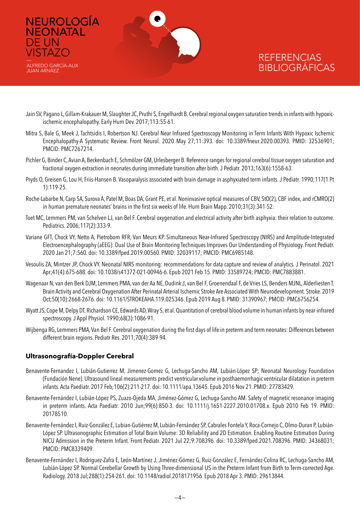

- Jain SV, Pagano L, Gillam-Krakauer M, Slaughter JC, Pruthi S, Engelhardt B. Cerebral regional oxygen saturation trends in infants with hypoxicischemic encephalopathy. Early Hum Dev. 2017;113:55-61.
- Mitra S, Bale G, Meek J, Tachtsidis I, Robertson NJ. Cerebral Near Infrared Spectroscopy Monitoring in Term Infants With Hypoxic Ischemic Encephalopathy-A Systematic Review. Front Neurol. 2020 May 27;11:393. doi: 10.3389/fneur.2020.00393. PMID: 32536901; PMCID: PMC7267214.
- Pichler G, Binder C, Avian A, Beckenbach E, Schmölzer GM, Urlesberger B. Reference ranges for regional cerebral tissue oxygen saturation and fractional oxygen extraction in neonates during immediate transition after birth. J Pediatr. 2013;163(6):1558-63.
- Pryds O, Greisen G, Lou H, Friis-Hansen B. Vasoparalysis associated with brain damage in asphyxiated term infants. J Pediatr. 1990;117(1 Pt 1):119-25.
- Roche-Labarbe N, Carp SA, Surova A, Patel M, Boas DA, Grant PE, et al. Noninvasive optical measures of CBV, StO(2), CBF index, and rCMRO(2) in human premature neonates' brains in the first six weeks of life. Hum Brain Mapp. 2010;31(3):341-52.
- Toet MC, Lemmers PM, van Schelven LJ, van Bel F. Cerebral oxygenation and electrical activity after birth asphyxia: their relation to outcome. Pediatrics. 2006;117(2):333-9.
- Variane GFT, Chock VY, Netto A, Pietrobom RFR, Van Meurs KP. Simultaneous Near-Infrared Spectroscopy (NIRS) and Amplitude-Integrated Electroencephalography (aEEG): Dual Use of Brain Monitoring Techniques Improves Our Understanding of Physiology. Front Pediatr. 2020 Jan 21;7:560. doi: 10.3389/fped.2019.00560. PMID: 32039117; PMCID: PMC6985148.
- Vesoulis ZA, Mintzer JP, Chock VY. Neonatal NIRS monitoring: recommendations for data capture and review of analytics. J Perinatol. 2021 Apr;41(4):675-688. doi: 10.1038/s41372-021-00946-6. Epub 2021 Feb 15. PMID: 33589724; PMCID: PMC7883881.
- Wagenaar N, van den Berk DJM, Lemmers PMA, van der Aa NE, Dudink J, van Bel F, Groenendaal F, de Vries LS, Benders MJNL, Alderliesten T. Brain Activity and Cerebral Oxygenation After Perinatal Arterial Ischemic Stroke Are Associated With Neurodevelopment. Stroke. 2019 Oct;50(10):2668-2676. doi: 10.1161/STROKEAHA.119.025346. Epub 2019 Aug 8. PMID: 31390967; PMCID: PMC6756254.
- Wyatt JS, Cope M, Delpy DT, Richardson CE, Edwards AD, Wray S, et al. Quantitation of cerebral blood volume in human infants by near-infrared spectroscopy. J Appl Physiol. 1990;68(3):1086-91.
- Wijbenga RG, Lemmers PMA, Van Bel F. Cerebral oxygenation during the first days of life in preterm and term neonates: Differences between different brain regions. Pediatr Res. 2011;70(4):389-94.

### **Ultrasonografía-Doppler Cerebral**

DE UN **VISTAZO** 

ALFREDO GARCÍA-ALIX JUAN ARNÁEZ

- Benavente-Fernandez I, Lubián-Gutierrez M, Jimenez-Gomez G, Lechuga-Sancho AM, Lubián-López SP; Neonatal Neurology Foundation (Fundación Nene). Ultrasound lineal measurements predict ventricular volume in posthaemorrhagic ventricular dilatation in preterm infants. Acta Paediatr. 2017 Feb;106(2):211-217. doi: 10.1111/apa.13645. Epub 2016 Nov 21. PMID: 27783429.
- Benavente-Fernández I, Lubián-López PS, Zuazo-Ojeda MA, Jiménez-Gómez G, Lechuga-Sancho AM. Safety of magnetic resonance imaging in preterm infants. Acta Paediatr. 2010 Jun;99(6):850-3. doi: 10.1111/j.1651-2227.2010.01708.x. Epub 2010 Feb 19. PMID: 20178510.
- Benavente-Fernández I, Ruiz-González E, Lubian-Gutiérrez M, Lubián-Fernández SP, Cabrales Fontela Y, Roca-Cornejo C, Olmo-Duran P, Lubián-López SP. Ultrasonographic Estimation of Total Brain Volume: 3D Reliability and 2D Estimation. Enabling Routine Estimation During NICU Admission in the Preterm Infant. Front Pediatr. 2021 Jul 22;9:708396. doi: 10.3389/fped.2021.708396. PMID: 34368031; PMCID: PMC8339409.
- Benavente-Fernández I, Rodríguez-Zafra E, León-Martínez J, Jiménez-Gómez G, Ruiz-González E, Fernández-Colina RC, Lechuga-Sancho AM, Lubián-López SP. Normal Cerebellar Growth by Using Three-dimensional US in the Preterm Infant from Birth to Term-corrected Age. Radiology. 2018 Jul;288(1):254-261. doi: 10.1148/radiol.2018171956. Epub 2018 Apr 3. PMID: 29613844.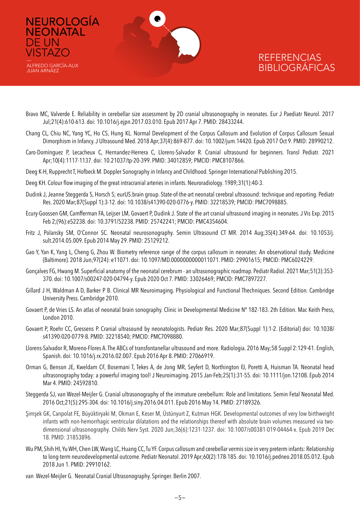

ALFREDO GARCÍA-ALIX JUAN ARNÁEZ

DE UN **VISTAZO** 

## **REFERENCIAS** BIBLIOGRÁFICAS

- Bravo MC, Valverde E. Reliability in cerebellar size assessment by 2D cranial ultrasonography in neonates. Eur J Paediatr Neurol. 2017 Jul;21(4):610-613. doi: 10.1016/j.ejpn.2017.03.010. Epub 2017 Apr 7. PMID: 28433244.
- Chang CL, Chiu NC, Yang YC, Ho CS, Hung KL. Normal Development of the Corpus Callosum and Evolution of Corpus Callosum Sexual Dimorphism in Infancy. J Ultrasound Med. 2018 Apr;37(4):869-877. doi: 10.1002/jum.14420. Epub 2017 Oct 9. PMID: 28990212.
- Caro-Domínguez P, Lecacheux C, Hernandez-Herrera C, Llorens-Salvador R. Cranial ultrasound for beginners. Transl Pediatr. 2021 Apr;10(4):1117-1137. doi: 10.21037/tp-20-399. PMID: 34012859; PMCID: PMC8107866.
- Deeg K-H, Rupprecht T, Hofbeck M. Doppler Sonography in Infancy and Childhood. Springer International Publishing 2015.
- Deeg KH. Colour flow imaging of the great intracranial arteries in infants. Neuroradiology. 1989;31(1):40-3.
- Dudink J, Jeanne Steggerda S, Horsch S; eurUS.brain group. State-of-the-art neonatal cerebral ultrasound: technique and reporting. Pediatr Res. 2020 Mar;87(Suppl 1):3-12. doi: 10.1038/s41390-020-0776-y. PMID: 32218539; PMCID: PMC7098885.
- Ecury-Goossen GM, Camfferman FA, Leijser LM, Govaert P, Dudink J. State of the art cranial ultrasound imaging in neonates. J Vis Exp. 2015 Feb 2;(96):e52238. doi: 10.3791/52238. PMID: 25742241; PMCID: PMC4354604.
- Fritz J, Polansky SM, O'Connor SC. Neonatal neurosonography. Semin Ultrasound CT MR. 2014 Aug;35(4):349-64. doi: 10.1053/j. sult.2014.05.009. Epub 2014 May 29. PMID: 25129212.
- Gao Y, Yan K, Yang L, Cheng G, Zhou W. Biometry reference range of the corpus callosum in neonates: An observational study. Medicine (Baltimore). 2018 Jun;97(24): e11071. doi: 10.1097/MD.0000000000011071. PMID: 29901615; PMCID: PMC6024229.
- Gonçalves FG, Hwang M. Superficial anatomy of the neonatal cerebrum an ultrasonographic roadmap. Pediatr Radiol. 2021 Mar;51(3):353- 370. doi: 10.1007/s00247-020-04794-y. Epub 2020 Oct 7. PMID: 33026469; PMCID: PMC7897227.
- Gillard J H, Waldman A D, Barker P B. Clinical MR Neuroimaging. Physiological and Functional Thechniques. Second Edition. Cambridge University Press. Cambridge 2010.
- Govaert P, de Vries LS. An atlas of neonatal brain sonography. Clinic in Developmental Medicine Nº 182-183. 2th Edition. Mac Keith Press, London 2010.
- Govaert P, Roehr CC, Gressens P. Cranial ultrasound by neonatologists. Pediatr Res. 2020 Mar;87(Suppl 1):1-2. (Editorial) doi: 10.1038/ s41390-020-0779-8. PMID: 32218540; PMCID: PMC7098880.
- Llorens-Salvador R, Moreno-Flores A. The ABCs of transfontanellar ultrasound and more. Radiologia. 2016 May;58 Suppl 2:129-41. English, Spanish. doi: 10.1016/j.rx.2016.02.007. Epub 2016 Apr 8. PMID: 27066919.
- Orman G, Benson JE, Kweldam CF, Bosemani T, Tekes A, de Jong MR, Seyfert D, Northington FJ, Poretti A, Huisman TA. Neonatal head ultrasonography today: a powerful imaging tool! J Neuroimaging. 2015 Jan-Feb;25(1):31-55. doi: 10.1111/jon.12108. Epub 2014 Mar 4. PMID: 24592810.
- Steggerda SJ, van Wezel-Meijler G. Cranial ultrasonography of the immature cerebellum: Role and limitations. Semin Fetal Neonatal Med. 2016 Oct;21(5):295-304. doi: 10.1016/j.siny.2016.04.011. Epub 2016 May 14. PMID: 27189326.
- Şimşek GK, Canpolat FE, Büyüktiryaki M, Okman E, Keser M, Üstünyurt Z, Kutman HGK. Developmental outcomes of very low birthweight infants with non-hemorrhagic ventricular dilatations and the relationships thereof with absolute brain volumes measured via twodimensional ultrasonography. Childs Nerv Syst. 2020 Jun;36(6):1231-1237. doi: 10.1007/s00381-019-04464-x. Epub 2019 Dec 18. PMID: 31853896.
- Wu PM, Shih HI, Yu WH, Chen LW, Wang LC, Huang CC, Tu YF. Corpus callosum and cerebellar vermis size in very preterm infants: Relationship to long-term neurodevelopmental outcome. Pediatr Neonatol. 2019 Apr;60(2):178-185. doi: 10.1016/j.pedneo.2018.05.012. Epub 2018 Jun 1. PMID: 29910162.

van Wezel-Meijler G. Neonatal Cranial Ultrasonography. Springer. Berlin 2007.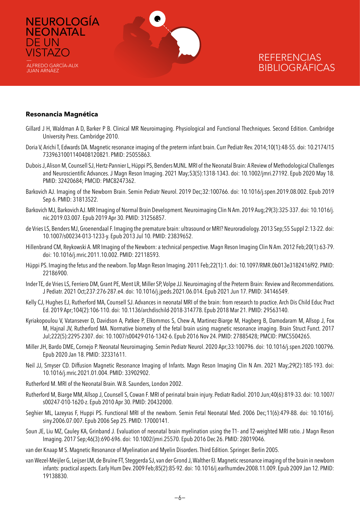

#### **Resonancia Magnética**

NEUROLOGÍA

**NEONATAL** 

ALFREDO GARCÍA-ALIX JUAN ARNÁEZ

DE UN **VISTAZO** 

- Gillard J H, Waldman A D, Barker P B. Clinical MR Neuroimaging. Physiological and Functional Thechniques. Second Edition. Cambridge University Press. Cambridge 2010.
- Doria V, Arichi T, Edwards DA. Magnetic resonance imaging of the preterm infant brain. Curr Pediatr Rev. 2014;10(1):48-55. doi: 10.2174/15 7339631001140408120821. PMID: 25055863.
- Dubois J, Alison M, Counsell SJ, Hertz-Pannier L, Hüppi PS, Benders MJNL. MRI of the Neonatal Brain: A Review of Methodological Challenges and Neuroscientific Advances. J Magn Reson Imaging. 2021 May;53(5):1318-1343. doi: 10.1002/jmri.27192. Epub 2020 May 18. PMID: 32420684; PMCID: PMC8247362.
- Barkovich AJ. Imaging of the Newborn Brain. Semin Pediatr Neurol. 2019 Dec;32:100766. doi: 10.1016/j.spen.2019.08.002. Epub 2019 Sep 6. PMID: 31813522.
- Barkovich MJ, Barkovich AJ. MR Imaging of Normal Brain Development. Neuroimaging Clin N Am. 2019 Aug;29(3):325-337. doi: 10.1016/j. nic.2019.03.007. Epub 2019 Apr 30. PMID: 31256857.
- de Vries LS, Benders MJ, Groenendaal F. Imaging the premature brain: ultrasound or MRI? Neuroradiology. 2013 Sep;55 Suppl 2:13-22. doi: 10.1007/s00234-013-1233-y. Epub 2013 Jul 10. PMID: 23839652.
- Hillenbrand CM, Reykowski A. MR Imaging of the Newborn: a technical perspective. Magn Reson Imaging Clin N Am. 2012 Feb;20(1):63-79. doi: 10.1016/j.mric.2011.10.002. PMID: 22118593.
- Hüppi PS. Imaging the fetus and the newborn. Top Magn Reson Imaging. 2011 Feb;22(1):1. doi: 10.1097/RMR.0b013e3182416f92. PMID: 22186900.
- Inder TE, de Vries LS, Ferriero DM, Grant PE, Ment LR, Miller SP, Volpe JJ. Neuroimaging of the Preterm Brain: Review and Recommendations. J Pediatr. 2021 Oct;237:276-287.e4. doi: 10.1016/j.jpeds.2021.06.014. Epub 2021 Jun 17. PMID: 34146549.
- Kelly CJ, Hughes EJ, Rutherford MA, Counsell SJ. Advances in neonatal MRI of the brain: from research to practice. Arch Dis Child Educ Pract Ed. 2019 Apr;104(2):106-110. doi: 10.1136/archdischild-2018-314778. Epub 2018 Mar 21. PMID: 29563140.
- Kyriakopoulou V, Vatansever D, Davidson A, Patkee P, Elkommos S, Chew A, Martinez-Biarge M, Hagberg B, Damodaram M, Allsop J, Fox M, Hajnal JV, Rutherford MA. Normative biometry of the fetal brain using magnetic resonance imaging. Brain Struct Funct. 2017 Jul;222(5):2295-2307. doi: 10.1007/s00429-016-1342-6. Epub 2016 Nov 24. PMID: 27885428; PMCID: PMC5504265.
- Miller JH, Bardo DME, Cornejo P. Neonatal Neuroimaging. Semin Pediatr Neurol. 2020 Apr;33:100796. doi: 10.1016/j.spen.2020.100796. Epub 2020 Jan 18. PMID: 32331611.
- Neil JJ, Smyser CD. Diffusion Magnetic Resonance Imaging of Infants. Magn Reson Imaging Clin N Am. 2021 May;29(2):185-193. doi: 10.1016/j.mric.2021.01.004. PMID: 33902902.
- Rutherford M. MRI of the Neonatal Brain. W.B. Saunders, London 2002.
- Rutherford M, Biarge MM, Allsop J, Counsell S, Cowan F. MRI of perinatal brain injury. Pediatr Radiol. 2010 Jun;40(6):819-33. doi: 10.1007/ s00247-010-1620-z. Epub 2010 Apr 30. PMID: 20432000.
- Seghier ML, Lazeyras F, Huppi PS. Functional MRI of the newborn. Semin Fetal Neonatal Med. 2006 Dec;11(6):479-88. doi: 10.1016/j. siny.2006.07.007. Epub 2006 Sep 25. PMID: 17000141.
- Soun JE, Liu MZ, Cauley KA, Grinband J. Evaluation of neonatal brain myelination using the T1- and T2-weighted MRI ratio. J Magn Reson Imaging. 2017 Sep;46(3):690-696. doi: 10.1002/jmri.25570. Epub 2016 Dec 26. PMID: 28019046.
- van der Knaap M S. Magnetic Resonance of Myelination and Myelin Disorders. Third Edition. Springer. Berlin 2005.
- van Wezel-Meijler G, Leijser LM, de Bruïne FT, Steggerda SJ, van der Grond J, Walther FJ. Magnetic resonance imaging of the brain in newborn infants: practical aspects. Early Hum Dev. 2009 Feb;85(2):85-92. doi: 10.1016/j.earlhumdev.2008.11.009. Epub 2009 Jan 12. PMID: 19138830.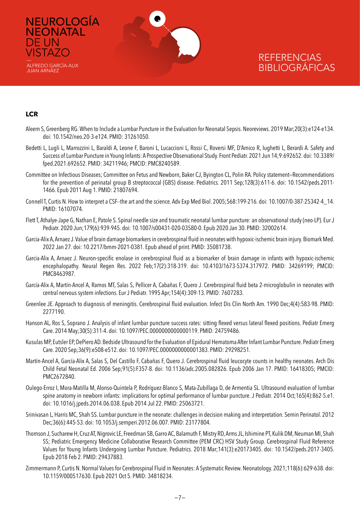

#### **LCR**

NEUROLOGÍA **NEONATAL** 

DE UN **VISTAZO** 

ALFREDO GARCÍA-ALIX JUAN ARNÁEZ

- Aleem S, Greenberg RG. When to Include a Lumbar Puncture in the Evaluation for Neonatal Sepsis. Neoreviews. 2019 Mar;20(3):e124-e134. doi: 10.1542/neo.20-3-e124. PMID: 31261050.
- Bedetti L, Lugli L, Marrozzini L, Baraldi A, Leone F, Baroni L, Lucaccioni L, Rossi C, Roversi MF, D'Amico R, Iughetti L, Berardi A. Safety and Success of Lumbar Puncture in Young Infants: A Prospective Observational Study. Front Pediatr. 2021 Jun 14;9:692652. doi: 10.3389/ fped.2021.692652. PMID: 34211946; PMCID: PMC8240589.
- Committee on Infectious Diseases; Committee on Fetus and Newborn, Baker CJ, Byington CL, Polin RA. Policy statement—Recommendations for the prevention of perinatal group B streptococcal (GBS) disease. Pediatrics. 2011 Sep;128(3):611-6. doi: 10.1542/peds.2011- 1466. Epub 2011 Aug 1. PMID: 21807694.
- Connell T, Curtis N. How to interpret a CSF--the art and the science. Adv Exp Med Biol. 2005;568:199-216. doi: 10.1007/0-387-25342-4\_14. PMID: 16107074.
- Flett T, Athalye-Jape G, Nathan E, Patole S. Spinal needle size and traumatic neonatal lumbar puncture: an observational study (neo-LP). Eur J Pediatr. 2020 Jun;179(6):939-945. doi: 10.1007/s00431-020-03580-0. Epub 2020 Jan 30. PMID: 32002614.
- Garcia-Alix A, Arnaez J. Value of brain damage biomarkers in cerebrospinal fluid in neonates with hypoxic-ischemic brain injury. Biomark Med. 2022 Jan 27. doi: 10.2217/bmm-2021-0381. Epub ahead of print. PMID: 35081738.
- Garcia-Alix A, Arnaez J. Neuron-specific enolase in cerebrospinal fluid as a biomarker of brain damage in infants with hypoxic-ischemic encephalopathy. Neural Regen Res. 2022 Feb;17(2):318-319. doi: 10.4103/1673-5374.317972. PMID: 34269199; PMCID: PMC8463987.
- García-Alix A, Martín-Ancel A, Ramos MT, Salas S, Pellicer A, Cabañas F, Quero J. Cerebrospinal fluid beta 2-microglobulin in neonates with central nervous system infections. Eur J Pediatr. 1995 Apr;154(4):309-13. PMID: 7607283.
- Greenlee JE. Approach to diagnosis of meningitis. Cerebrospinal fluid evaluation. Infect Dis Clin North Am. 1990 Dec;4(4):583-98. PMID: 2277190.
- Hanson AL, Ros S, Soprano J. Analysis of infant lumbar puncture success rates: sitting flexed versus lateral flexed positions. Pediatr Emerg Care. 2014 May;30(5):311-4. doi: 10.1097/PEC.0000000000000119. PMID: 24759486.
- Kusulas MP, Eutsler EP, DePiero AD. Bedside Ultrasound for the Evaluation of Epidural Hematoma After Infant Lumbar Puncture. Pediatr Emerg Care. 2020 Sep;36(9):e508-e512. doi: 10.1097/PEC.0000000000001383. PMID: 29298251.
- Martín-Ancel A, García-Alix A, Salas S, Del Castillo F, Cabañas F, Quero J. Cerebrospinal fluid leucocyte counts in healthy neonates. Arch Dis Child Fetal Neonatal Ed. 2006 Sep;91(5):F357-8. doi: 10.1136/adc.2005.082826. Epub 2006 Jan 17. PMID: 16418305; PMCID: PMC2672840.
- Oulego-Erroz I, Mora-Matilla M, Alonso-Quintela P, Rodríguez-Blanco S, Mata-Zubillaga D, de Armentia SL. Ultrasound evaluation of lumbar spine anatomy in newborn infants: implications for optimal performance of lumbar puncture. J Pediatr. 2014 Oct;165(4):862-5.e1. doi: 10.1016/j.jpeds.2014.06.038. Epub 2014 Jul 22. PMID: 25063721.
- Srinivasan L, Harris MC, Shah SS. Lumbar puncture in the neonate: challenges in decision making and interpretation. Semin Perinatol. 2012 Dec;36(6):445-53. doi: 10.1053/j.semperi.2012.06.007. PMID: 23177804.
- Thomson J, Sucharew H, Cruz AT, Nigrovic LE, Freedman SB, Garro AC, Balamuth F, Mistry RD, Arms JL, Ishimine PT, Kulik DM, Neuman MI, Shah SS; Pediatric Emergency Medicine Collaborative Research Committee (PEM CRC) HSV Study Group. Cerebrospinal Fluid Reference Values for Young Infants Undergoing Lumbar Puncture. Pediatrics. 2018 Mar;141(3):e20173405. doi: 10.1542/peds.2017-3405. Epub 2018 Feb 2. PMID: 29437883.
- Zimmermann P, Curtis N. Normal Values for Cerebrospinal Fluid in Neonates: A Systematic Review. Neonatology. 2021;118(6):629-638. doi: 10.1159/000517630. Epub 2021 Oct 5. PMID: 34818234.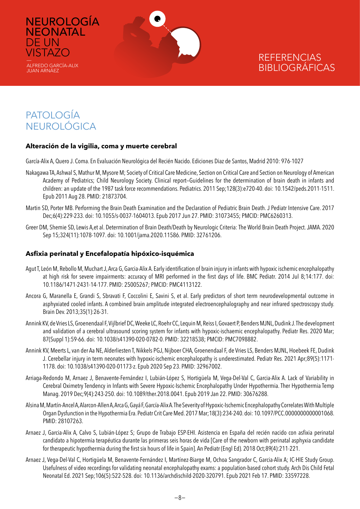

# PATOLOGÍA NEUROLÓGICA

NEUROLOGÍA **NEONATAL** 

DE UN **VISTAZO** 

ALFREDO GARCÍA-ALIX JUAN ARNÁEZ

### **Alteración de la vigilia, coma y muerte cerebral**

García-Alix A, Quero J. Coma. En Evaluación Neurológica del Recién Nacido. Ediciones Diaz de Santos, Madrid 2010: 976-1027

- Nakagawa TA, Ashwal S, Mathur M, Mysore M; Society of Critical Care Medicine, Section on Critical Care and Section on Neurology of American Academy of Pediatrics; Child Neurology Society. Clinical report—Guidelines for the determination of brain death in infants and children: an update of the 1987 task force recommendations. Pediatrics. 2011 Sep;128(3):e720-40. doi: 10.1542/peds.2011-1511. Epub 2011 Aug 28. PMID: 21873704.
- Martin SD, Porter MB. Performing the Brain Death Examination and the Declaration of Pediatric Brain Death. J Pediatr Intensive Care. 2017 Dec;6(4):229-233. doi: 10.1055/s-0037-1604013. Epub 2017 Jun 27. PMID: 31073455; PMCID: PMC6260313.
- Greer DM, Shemie SD, Lewis A,et al. Determination of Brain Death/Death by Neurologic Criteria: The World Brain Death Project. JAMA. 2020 Sep 15;324(11):1078-1097. doi: 10.1001/jama.2020.11586. PMID: 32761206.

### **Asfixia perinatal y Encefalopatía hipóxico-isquémica**

- Agut T, León M, Rebollo M, Muchart J, Arca G, Garcia-Alix A. Early identification of brain injury in infants with hypoxic ischemic encephalopathy at high risk for severe impairments: accuracy of MRI performed in the first days of life. BMC Pediatr. 2014 Jul 8;14:177. doi: 10.1186/1471-2431-14-177. PMID: 25005267; PMCID: PMC4113122.
- Ancora G, Maranella E, Grandi S, Sbravati F, Coccolini E, Savini S, et al. Early predictors of short term neurodevelopmental outcome in asphyxiated cooled infants. A combined brain amplitude integrated electroencephalography and near infrared spectroscopy study. Brain Dev. 2013;35(1):26-31.
- Annink KV, de Vries LS, Groenendaal F, Vijlbrief DC, Weeke LC, Roehr CC, Lequin M, Reiss I, Govaert P, Benders MJNL, Dudink J. The development and validation of a cerebral ultrasound scoring system for infants with hypoxic-ischaemic encephalopathy. Pediatr Res. 2020 Mar; 87(Suppl 1):59-66. doi: 10.1038/s41390-020-0782-0. PMID: 32218538; PMCID: PMC7098882.
- Annink KV, Meerts L, van der Aa NE, Alderliesten T, Nikkels PGJ, Nijboer CHA, Groenendaal F, de Vries LS, Benders MJNL, Hoebeek FE, Dudink J. Cerebellar injury in term neonates with hypoxic-ischemic encephalopathy is underestimated. Pediatr Res. 2021 Apr;89(5):1171- 1178. doi: 10.1038/s41390-020-01173-z. Epub 2020 Sep 23. PMID: 32967002.
- Arriaga-Redondo M, Arnaez J, Benavente-Fernández I, Lubián-López S, Hortigüela M, Vega-Del-Val C, Garcia-Alix A. Lack of Variability in Cerebral Oximetry Tendency in Infants with Severe Hypoxic-Ischemic Encephalopathy Under Hypothermia. Ther Hypothermia Temp Manag. 2019 Dec;9(4):243-250. doi: 10.1089/ther.2018.0041. Epub 2019 Jan 22. PMID: 30676288.
- Alsina M, Martín-Ancel A, Alarcon-Allen A, Arca G, Gayá F, García-Alix A. The Severity of Hypoxic-Ischemic Encephalopathy Correlates With Multiple Organ Dysfunction in the Hypothermia Era. Pediatr Crit Care Med. 2017 Mar;18(3):234-240. doi: 10.1097/PCC.0000000000001068. PMID: 28107263.
- Arnaez J, Garcia-Alix A, Calvo S, Lubián-López S; Grupo de Trabajo ESP-EHI. Asistencia en España del recién nacido con asfixia perinatal candidato a hipotermia terapéutica durante las primeras seis horas de vida [Care of the newborn with perinatal asphyxia candidate for therapeutic hypothermia during the first six hours of life in Spain]. An Pediatr (Engl Ed). 2018 Oct;89(4):211-221.
- Arnaez J, Vega-Del-Val C, Hortigüela M, Benavente-Fernández I, Martínez-Biarge M, Ochoa Sangrador C, Garcia-Alix A; IC-HIE Study Group. Usefulness of video recordings for validating neonatal encephalopathy exams: a population-based cohort study. Arch Dis Child Fetal Neonatal Ed. 2021 Sep;106(5):522-528. doi: 10.1136/archdischild-2020-320791. Epub 2021 Feb 17. PMID: 33597228.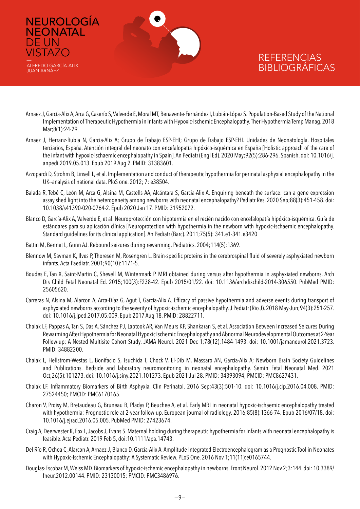

NEUROLOGÍA

**NEONATAL** 

ALFREDO GARCÍA-ALIX JUAN ARNÁEZ

DE UN **VISTAZO** 

- Arnaez J, García-Alix A, Arca G, Caserío S, Valverde E, Moral MT, Benavente-Fernández I, Lubián-López S. Population-Based Study of the National Implementation of Therapeutic Hypothermia in Infants with Hypoxic-Ischemic Encephalopathy. Ther Hypothermia Temp Manag. 2018 Mar;8(1):24-29.
- Arnaez J, Herranz-Rubia N, Garcia-Alix A; Grupo de Trabajo ESP-EHI; Grupo de Trabajo ESP-EHI. Unidades de Neonatología. Hospitales terciarios, España. Atención integral del neonato con encefalopatía hipóxico-isquémica en España [Holistic approach of the care of the infant with hypoxic-ischaemic encephalopathy in Spain]. An Pediatr (Engl Ed). 2020 May;92(5):286-296. Spanish. doi: 10.1016/j. anpedi.2019.05.013. Epub 2019 Aug 2. PMID: 31383601.
- Azzopardi D, Strohm B, Linsell L, et al. Implementation and conduct of therapeutic hypothermia for perinatal asphyxial encephalopathy in the UK--analysis of national data. PloS one. 2012; 7: e38504.
- Balada R, Tebé C, León M, Arca G, Alsina M, Castells AA, Alcántara S, Garcia-Alix A. Enquiring beneath the surface: can a gene expression assay shed light into the heterogeneity among newborns with neonatal encephalopathy? Pediatr Res. 2020 Sep;88(3):451-458. doi: 10.1038/s41390-020-0764-2. Epub 2020 Jan 17. PMID: 31952072.
- Blanco D, García-Alix A, Valverde E, et al. Neuroprotección con hipotermia en el recién nacido con encefalopatía hipóxico-isquémica. Guía de estándares para su aplicación clínica [Neuroprotection with hypothermia in the newborn with hypoxic-ischaemic encephalopathy. Standard guidelines for its clinical application]. An Pediatr (Barc). 2011;75(5): 341.e1-341.e3420
- Battin M, Bennet L, Gunn AJ. Rebound seizures during rewarming. Pediatrics. 2004;114(5):1369.
- Blennow M, Savman K, Ilves P, Thoresen M, Rosengren L. Brain-specific proteins in the cerebrospinal fluid of severely asphyxiated newborn infants. Acta Paediatr. 2001;90(10):1171-5.
- Boudes E, Tan X, Saint-Martin C, Shevell M, Wintermark P. MRI obtained during versus after hypothermia in asphyxiated newborns. Arch Dis Child Fetal Neonatal Ed. 2015;100(3):F238-42. Epub 2015/01/22. doi: 10.1136/archdischild-2014-306550. PubMed PMID: 25605620.
- Carreras N, Alsina M, Alarcon A, Arca-Díaz G, Agut T, García-Alix A. Efficacy of passive hypothermia and adverse events during transport of asphyxiated newborns according to the severity of hypoxic-ischemic encephalopathy. J Pediatr (Rio J). 2018 May-Jun;94(3):251-257. doi: 10.1016/j.jped.2017.05.009. Epub 2017 Aug 18. PMID: 28822711.
- Chalak LF, Pappas A, Tan S, Das A, Sánchez PJ, Laptook AR, Van Meurs KP, Shankaran S, et al. Association Between Increased Seizures During Rewarming After Hypothermia for Neonatal Hypoxic Ischemic Encephalopathy and Abnormal Neurodevelopmental Outcomes at 2-Year Follow-up: A Nested Multisite Cohort Study. JAMA Neurol. 2021 Dec 1;78(12):1484-1493. doi: 10.1001/jamaneurol.2021.3723. PMID: 34882200.
- Chalak L, Hellstrom-Westas L, Bonifacio S, Tsuchida T, Chock V, El-Dib M, Massaro AN, Garcia-Alix A; Newborn Brain Society Guidelines and Publications. Bedside and laboratory neuromonitoring in neonatal encephalopathy. Semin Fetal Neonatal Med. 2021 Oct;26(5):101273. doi: 10.1016/j.siny.2021.101273. Epub 2021 Jul 28. PMID: 34393094; PMCID: PMC8627431.
- Chalak LF. Inflammatory Biomarkers of Birth Asphyxia. Clin Perinatol. 2016 Sep;43(3):501-10. doi: 10.1016/j.clp.2016.04.008. PMID: 27524450; PMCID: PMC6170165.
- Charon V, Proisy M, Bretaudeau G, Bruneau B, Pladys P, Beuchee A, et al. Early MRI in neonatal hypoxic-ischaemic encephalopathy treated with hypothermia: Prognostic role at 2-year follow-up. European journal of radiology. 2016;85(8):1366-74. Epub 2016/07/18. doi: 10.1016/j.ejrad.2016.05.005. PubMed PMID: 27423674.
- Craig A, Deerwester K, Fox L, Jacobs J, Evans S. Maternal holding during therapeutic hypothermia for infants with neonatal encephalopathy is feasible. Acta Pediatr. 2019 Feb 5, doi:10.1111/apa.14743.
- Del Río R, Ochoa C, Alarcon A, Arnaez J, Blanco D, García-Alix A. Amplitude Integrated Electroencephalogram as a Prognostic Tool in Neonates with Hypoxic-Ischemic Encephalopathy: A Systematic Review. PLoS One. 2016 Nov 1;11(11):e0165744.
- Douglas-Escobar M, Weiss MD. Biomarkers of hypoxic-ischemic encephalopathy in newborns. Front Neurol. 2012 Nov 2;3:144. doi: 10.3389/ fneur.2012.00144. PMID: 23130015; PMCID: PMC3486976.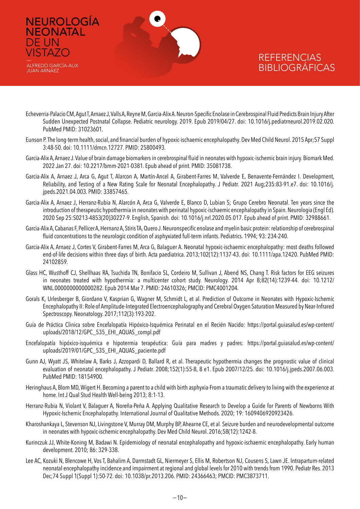

ALFREDO GARCÍA-ALIX JUAN ARNÁEZ

DE UN **VISTAZO** 

- Echeverria-Palacio CM, Agut T, Arnaez J, Valls A, Reyne M, Garcia-Alix A. Neuron-Specific Enolase in Cerebrospinal Fluid Predicts Brain Injury After Sudden Unexpected Postnatal Collapse. Pediatric neurology. 2019. Epub 2019/04/27. doi: 10.1016/j.pediatrneurol.2019.02.020. PubMed PMID: 31023601.
- Eunson P. The long-term health, social, and financial burden of hypoxic-ischaemic encephalopathy. Dev Med Child Neurol. 2015 Apr;57 Suppl 3:48-50. doi: 10.1111/dmcn.12727. PMID: 25800493.
- Garcia-Alix A, Arnaez J. Value of brain damage biomarkers in cerebrospinal fluid in neonates with hypoxic-ischemic brain injury. Biomark Med. 2022 Jan 27. doi: 10.2217/bmm-2021-0381. Epub ahead of print. PMID: 35081738.
- Garcia-Alix A, Arnaez J, Arca G, Agut T, Alarcon A, Martín-Ancel A, Girabent-Farres M, Valverde E, Benavente-Fernández I. Development, Reliability, and Testing of a New Rating Scale for Neonatal Encephalopathy. J Pediatr. 2021 Aug;235:83-91.e7. doi: 10.1016/j. jpeds.2021.04.003. PMID: 33857465.
- Garcia-Alix A, Arnaez J, Herranz-Rubia N, Alarcón A, Arca G, Valverde E, Blanco D, Lubian S; Grupo Cerebro Neonatal. Ten years since the introduction of therapeutic hypothermia in neonates with perinatal hypoxic-ischaemic encephalopathy in Spain. Neurologia (Engl Ed). 2020 Sep 25:S0213-4853(20)30227-9. English, Spanish. doi: 10.1016/j.nrl.2020.05.017. Epub ahead of print. PMID: 32988661.
- Garcia-Alix A, Cabanas F, Pellicer A, Hernanz A, Stiris TA, Quero J. Neuronspecific enolase and myelin basic protein: relationship of cerebrospinal fluid concentrations to the neurologic condition of asphyxiated full-term infants. Pediatrics. 1994; 93: 234-240.
- Garcia-Alix A, Arnaez J, Cortes V, Girabent-Farres M, Arca G, Balaguer A. Neonatal hypoxic-ischaemic encephalopathy: most deaths followed end-of-life decisions within three days of birth. Acta paediatrica. 2013;102(12):1137-43. doi: 10.1111/apa.12420. PubMed PMID: 24102859.
- Glass HC, Wusthoff CJ, Shellhaas RA, Tsuchida TN, Bonifacio SL, Cordeiro M, Sullivan J, Abend NS, Chang T. Risk factors for EEG seizures in neonates treated with hypothermia: a multicenter cohort study. Neurology. 2014 Apr 8;82(14):1239-44. doi: 10.1212/ WNL.0000000000000282. Epub 2014 Mar 7. PMID: 24610326; PMCID: PMC4001204.
- Gorals K, Urlesberger B, Giordano V, Kasprian G, Wagner M, Schmidt L, et al. Prediction of Outcome in Neonates with Hypoxic-Ischemic Encephalopathy II: Role of Amplitude-Integrated Electroencephalography and Cerebral Oxygen Saturation Measured by Near-Infrared Spectroscopy. Neonatology. 2017;112(3):193-202.
- Guía de Práctica Clinica sobre Encefalopatía Hipóxico-Isquémica Perinatal en el Recién Nacido: [https://portal.guiasalud.es/wp-content/](https://portal.guiasalud.es/wp-content/uploads/2018/12/GPC_535_EHI_AQUAS_compl.pdf) uploads/2018/12/GPC 535 EHI\_AQUAS\_compl.pdf
- Encefalopatía hipóxico-isquémica e hipotermia terapéutica: Guía para madres y padres: [https://portal.guiasalud.es/wp-content/](https://portal.guiasalud.es/wp-content/uploads/2019/01/GPC_535_EHI_AQUAS_paciente.pdf) [uploads/2019/01/GPC\\_535\\_EHI\\_AQUAS\\_paciente.pdf](https://portal.guiasalud.es/wp-content/uploads/2019/01/GPC_535_EHI_AQUAS_paciente.pdf)
- Gunn AJ, Wyatt JS, Whitelaw A, Barks J, Azzopardi D, Ballard R, et al. Therapeutic hypothermia changes the prognostic value of clinical evaluation of neonatal encephalopathy. J Pediatr. 2008;152(1):55-8, 8 e1. Epub 2007/12/25. doi: 10.1016/j.jpeds.2007.06.003. PubMed PMID: 18154900.
- Heringhaus A, Blom MD, Wigert H. Becoming a parent to a child with birth asphyxia-From a traumatic delivery to living with the experience at home. Int J Qual Stud Health Well-being 2013; 8:1-13.
- Herranz-Rubia N, Violant V, Balaguer A, Noreña-Peña A. Applying Qualitative Research to Develop a Guide for Parents of Newborns With Hypoxic-Ischemic Encephalopathy. International Journal of Qualitative Methods*.* 2020; 19: 1609406920923426.
- Kharoshankaya L, Stevenson NJ, Livingstone V, Murray DM, Murphy BP, Ahearne CE, et al. Seizure burden and neurodevelopmental outcome in neonates with hypoxic-ischemic encephalopathy. Dev Med Child Neurol. 2016;58(12):1242-8.
- Kurinczuk JJ, White-Koning M, Badawi N. Epidemiology of neonatal encephalopathy and hypoxic-ischaemic encephalopathy. Early human development. 2010; 86: 329-338.
- Lee AC, Kozuki N, Blencowe H, Vos T, Bahalim A, Darmstadt GL, Niermeyer S, Ellis M, Robertson NJ, Cousens S, Lawn JE. Intrapartum-related neonatal encephalopathy incidence and impairment at regional and global levels for 2010 with trends from 1990. Pediatr Res. 2013 Dec;74 Suppl 1(Suppl 1):50-72. doi: 10.1038/pr.2013.206. PMID: 24366463; PMCID: PMC3873711.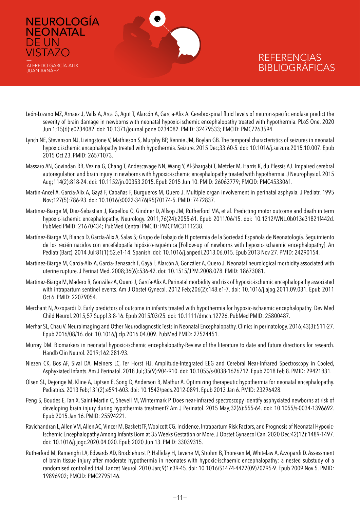

NEUROLOGÍA

**NEONATAL** 

ALFREDO GARCÍA-ALIX JUAN ARNÁEZ

DE UN **VISTAZO** 

- León-Lozano MZ, Arnaez J, Valls A, Arca G, Agut T, Alarcón A, Garcia-Alix A. Cerebrospinal fluid levels of neuron-specific enolase predict the severity of brain damage in newborns with neonatal hypoxic-ischemic encephalopathy treated with hypothermia. PLoS One. 2020 Jun 1;15(6):e0234082. doi: 10.1371/journal.pone.0234082. PMID: 32479533; PMCID: PMC7263594.
- Lynch NE, Stevenson NJ, Livingstone V, Mathieson S, Murphy BP, Rennie JM, Boylan GB. The temporal characteristics of seizures in neonatal hypoxic ischemic encephalopathy treated with hypothermia. Seizure. 2015 Dec;33:60-5. doi: 10.1016/j.seizure.2015.10.007. Epub 2015 Oct 23. PMID: 26571073.
- Massaro AN, Govindan RB, Vezina G, Chang T, Andescavage NN, Wang Y, Al-Shargabi T, Metzler M, Harris K, du Plessis AJ. Impaired cerebral autoregulation and brain injury in newborns with hypoxic-ischemic encephalopathy treated with hypothermia. J Neurophysiol. 2015 Aug;114(2):818-24. doi: 10.1152/jn.00353.2015. Epub 2015 Jun 10. PMID: 26063779; PMCID: PMC4533061.
- Martín-Ancel A, García-Alix A, Gayá F, Cabañas F, Burgueros M, Quero J. Multiple organ involvement in perinatal asphyxia. J Pediatr. 1995 Nov;127(5):786-93. doi: 10.1016/s0022-3476(95)70174-5. PMID: 7472837.
- Martinez-Biarge M, Diez-Sebastian J, Kapellou O, Gindner D, Allsop JM, Rutherford MA, et al. Predicting motor outcome and death in term hypoxic-ischemic encephalopathy. Neurology. 2011;76(24):2055-61. Epub 2011/06/15. doi: 10.1212/WNL.0b013e31821f442d. PubMed PMID: 21670434; PubMed Central PMCID: PMCPMC3111238.
- Martínez-Biarge M, Blanco D, García-Alix A, Salas S; Grupo de Trabajo de Hipotermia de la Sociedad Española de Neonatología. Seguimiento de los recién nacidos con encefalopatía hipóxico-isquémica [Follow-up of newborns with hypoxic-ischaemic encephalopathy]. An Pediatr (Barc). 2014 Jul;81(1):52.e1-14. Spanish. doi: 10.1016/j.anpedi.2013.06.015. Epub 2013 Nov 27. PMID: 24290154.
- Martínez-Biarge M, García-Alix A, García-Benasach F, Gayá F, Alarcón A, González A, Quero J. Neonatal neurological morbidity associated with uterine rupture. J Perinat Med. 2008;36(6):536-42. doi: 10.1515/JPM.2008.078. PMID: 18673081.
- Martinez-Biarge M, Madero R, González A, Quero J, García-Alix A. Perinatal morbidity and risk of hypoxic-ischemic encephalopathy associated with intrapartum sentinel events. Am J Obstet Gynecol. 2012 Feb;206(2):148.e1-7. doi: 10.1016/j.ajog.2011.09.031. Epub 2011 Oct 6. PMID: 22079054.
- Merchant N, Azzopardi D. Early predictors of outcome in infants treated with hypothermia for hypoxic-ischaemic encephalopathy. Dev Med Child Neurol. 2015;57 Suppl 3:8-16. Epub 2015/03/25. doi: 10.1111/dmcn.12726. PubMed PMID: 25800487.
- Merhar SL, Chau V. Neuroimaging and Other Neurodiagnostic Tests in Neonatal Encephalopathy. Clinics in perinatology. 2016;43(3):511-27. Epub 2016/08/16. doi: 10.1016/j.clp.2016.04.009. PubMed PMID: 27524451.
- Murray DM. Biomarkers in neonatal hypoxic-ischemic encephalopathy-Review of the literature to date and future directions for research. Handb Clin Neurol. 2019;162:281-93.
- Niezen CK, Bos AF, Sival DA, Meiners LC, Ter Horst HJ. Amplitude-Integrated EEG and Cerebral Near-Infrared Spectroscopy in Cooled, Asphyxiated Infants. Am J Perinatol. 2018 Jul;35(9):904-910. doi: 10.1055/s-0038-1626712. Epub 2018 Feb 8. PMID: 29421831.
- Olsen SL, Dejonge M, Kline A, Liptsen E, Song D, Anderson B, Mathur A. Optimizing therapeutic hypothermia for neonatal encephalopathy. Pediatrics. 2013 Feb;131(2):e591-603. doi: 10.1542/peds.2012-0891. Epub 2013 Jan 6. PMID: 23296428.
- Peng S, Boudes E, Tan X, Saint-Martin C, Shevell M, Wintermark P. Does near-infrared spectroscopy identify asphyxiated newborns at risk of developing brain injury during hypothermia treatment? Am J Perinatol. 2015 May;32(6):555-64. doi: 10.1055/s-0034-1396692. Epub 2015 Jan 16. PMID: 25594221.
- Ravichandran L, Allen VM, Allen AC, Vincer M, Baskett TF, Woolcott CG. Incidence, Intrapartum Risk Factors, and Prognosis of Neonatal Hypoxic-Ischemic Encephalopathy Among Infants Born at 35 Weeks Gestation or More. J Obstet Gynaecol Can. 2020 Dec;42(12):1489-1497. doi: 10.1016/j.jogc.2020.04.020. Epub 2020 Jun 13. PMID: 33039315.
- Rutherford M, Ramenghi LA, Edwards AD, Brocklehurst P, Halliday H, Levene M, Strohm B, Thoresen M, Whitelaw A, Azzopardi D. Assessment of brain tissue injury after moderate hypothermia in neonates with hypoxic-ischaemic encephalopathy: a nested substudy of a randomised controlled trial. Lancet Neurol. 2010 Jan;9(1):39-45. doi: 10.1016/S1474-4422(09)70295-9. Epub 2009 Nov 5. PMID: 19896902; PMCID: PMC2795146.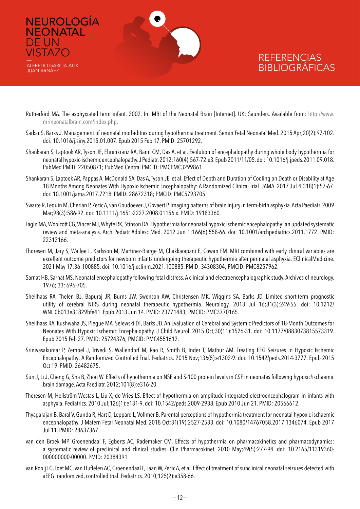

ALFREDO GARCÍA-ALIX JUAN ARNÁEZ

DE UN **VISTAZO** 

- Rutherford MA. The asphyxiated term infant. 2002. In: MRI of the Neonatal Brain [Internet]. UK: Saunders. Available from: [http://www.](http://www.mrineonatalbrain.com/index.php) [mrineonatalbrain.com/index.php.](http://www.mrineonatalbrain.com/index.php)
- Sarkar S, Barks J. Management of neonatal morbidities during hypothermia treatment. Semin Fetal Neonatal Med. 2015 Apr;20(2):97-102. doi: 10.1016/j.siny.2015.01.007. Epub 2015 Feb 17. PMID: 25701292.
- Shankaran S, Laptook AR, Tyson JE, Ehrenkranz RA, Bann CM, Das A, et al. Evolution of encephalopathy during whole body hypothermia for neonatal hypoxic-ischemic encephalopathy. J Pediatr. 2012;160(4):567-72.e3. Epub 2011/11/05. doi: 10.1016/j.jpeds.2011.09.018. PubMed PMID: 22050871; PubMed Central PMCID: PMCPMC3299861.
- Shankaran S, Laptook AR, Pappas A, McDonald SA, Das A, Tyson JE, et al. Effect of Depth and Duration of Cooling on Death or Disability at Age 18 Months Among Neonates With Hypoxic-Ischemic Encephalopathy: A Randomized Clinical Trial. JAMA. 2017 Jul 4;318(1):57-67. doi: 10.1001/jama.2017.7218. PMID: 28672318; PMCID: PMC5793705.
- Swarte R, Lequin M, Cherian P, Zecic A, van Goudoever J, Govaert P. Imaging patterns of brain injury in term-birth asphyxia. Acta Paediatr. 2009 Mar;98(3):586-92. doi: 10.1111/j.1651-2227.2008.01156.x. PMID: 19183360.
- Tagin MA, Woolcott CG, Vincer MJ, Whyte RK, Stinson DA. Hypothermia for neonatal hypoxic ischemic encephalopathy: an updated systematic review and meta-analysis. Arch Pediatr Adolesc Med. 2012 Jun 1;166(6):558-66. doi: 10.1001/archpediatrics.2011.1772. PMID: 22312166.
- Thoresen M, Jary S, Walløe L, Karlsson M, Martinez-Biarge M, Chakkarapani E, Cowan FM. MRI combined with early clinical variables are excellent outcome predictors for newborn infants undergoing therapeutic hypothermia after perinatal asphyxia. EClinicalMedicine. 2021 May 17;36:100885. doi: 10.1016/j.eclinm.2021.100885. PMID: 34308304; PMCID: PMC8257962.
- Sarnat HB, Sarnat MS. Neonatal encephalopathy following fetal distress. A clinical and electroencephalographic study. Archives of neurology. 1976; 33: 696-705.
- Shellhaas RA, Thelen BJ, Bapuraj JR, Burns JW, Swenson AW, Christensen MK, Wiggins SA, Barks JD. Limited short-term prognostic utility of cerebral NIRS during neonatal therapeutic hypothermia. Neurology. 2013 Jul 16;81(3):249-55. doi: 10.1212/ WNL.0b013e31829bfe41. Epub 2013 Jun 14. PMID: 23771483; PMCID: PMC3770165.
- Shellhaas RA, Kushwaha JS, Plegue MA, Selewski DT, Barks JD. An Evaluation of Cerebral and Systemic Predictors of 18-Month Outcomes for Neonates With Hypoxic Ischemic Encephalopathy. J Child Neurol. 2015 Oct;30(11):1526-31. doi: 10.1177/0883073815573319. Epub 2015 Feb 27. PMID: 25724376; PMCID: PMC4551612.
- Srinivasakumar P, Zempel J, Trivedi S, Wallendorf M, Rao R, Smith B, Inder T, Mathur AM. Treating EEG Seizures in Hypoxic Ischemic Encephalopathy: A Randomized Controlled Trial. Pediatrics. 2015 Nov;136(5):e1302-9. doi: 10.1542/peds.2014-3777. Epub 2015 Oct 19. PMID: 26482675.
- Sun J, Li J, Cheng G, Sha B, Zhou W. Effects of hypothermia on NSE and S-100 protein levels in CSF in neonates following hypoxic/ischaemic brain damage. Acta Paediatr. 2012;101(8):e316-20.
- Thoresen M, Hellström-Westas L, Liu X, de Vries LS. Effect of hypothermia on amplitude-integrated electroencephalogram in infants with asphyxia. Pediatrics. 2010 Jul;126(1):e131-9. doi: 10.1542/peds.2009-2938. Epub 2010 Jun 21. PMID: 20566612.
- Thyagarajan B, Baral V, Gunda R, Hart D, Leppard L, Vollmer B. Parental perceptions of hypothermia treatment for neonatal hypoxic-ischaemic encephalopathy. J Matern Fetal Neonatal Med. 2018 Oct;31(19):2527-2533. doi: 10.1080/14767058.2017.1346074. Epub 2017 Jul 11. PMID: 28637367.
- van den Broek MP, Groenendaal F, Egberts AC, Rademaker CM. Effects of hypothermia on pharmacokinetics and pharmacodynamics: a systematic review of preclinical and clinical studies. Clin Pharmacokinet. 2010 May;49(5):277-94. doi: 10.2165/11319360- 000000000-00000. PMID: 20384391.
- van Rooij LG, Toet MC, van Huffelen AC, Groenendaal F, Laan W, Zecic A, et al. Effect of treatment of subclinical neonatal seizures detected with aEEG: randomized, controlled trial. Pediatrics. 2010;125(2):e358-66.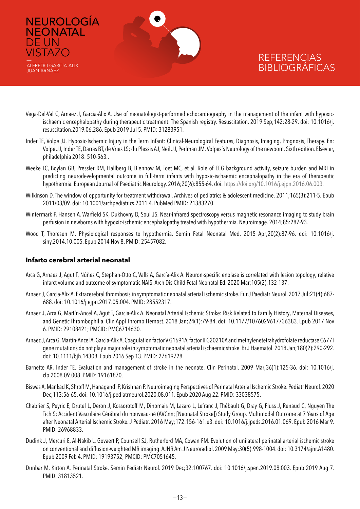

- Vega-Del-Val C, Arnaez J, Garcia-Alix A. Use of neonatologist-performed echocardiography in the management of the infant with hypoxicischaemic encephalopathy during therapeutic treatment: The Spanish registry. Resuscitation. 2019 Sep;142:28-29. doi: 10.1016/j. resuscitation.2019.06.286. Epub 2019 Jul 5. PMID: 31283951.
- Inder TE, Volpe JJ. Hypoxic-Ischemic Injury in the Term Infant: Clinical-Neurological Features, Diagnosis, Imaging, Prognosis, Therapy. En: Volpe JJ, Inder TE, Darras BT, de Vries LS; du Plessis AJ, Neil JJ, Perlman JM. Volpes´s Neurology of the newborn. Sixth edition. Elsevier, philadelphia 2018: 510-563..
- Weeke LC, Boylan GB, Pressler RM, Hallberg B, Blennow M, Toet MC, et al. Role of EEG background activity, seizure burden and MRI in predicting neurodevelopmental outcome in full-term infants with hypoxic-ischaemic encephalopathy in the era of therapeutic hypothermia. European Journal of Paediatric Neurology. 2016;20(6):855-64. doi: <https://doi.org/10.1016/j.ejpn.2016.06.003>.
- Wilkinson D. The window of opportunity for treatment withdrawal. Archives of pediatrics & adolescent medicine. 2011;165(3):211-5. Epub 2011/03/09. doi: 10.1001/archpediatrics.2011.4. PubMed PMID: 21383270.
- Wintermark P, Hansen A, Warfield SK, Dukhovny D, Soul JS. Near-infrared spectroscopy versus magnetic resonance imaging to study brain perfusion in newborns with hypoxic-ischemic encephalopathy treated with hypothermia. Neuroimage. 2014;85:287-93.
- Wood T, Thoresen M. Physiological responses to hypothermia. Semin Fetal Neonatal Med. 2015 Apr;20(2):87-96. doi: 10.1016/j. siny.2014.10.005. Epub 2014 Nov 8. PMID: 25457082.

#### **Infarto cerebral arterial neonatal**

NEUROLOGÍA

**NEONATAL** 

ALFREDO GARCÍA-ALIX JUAN ARNÁEZ

DE UN **VISTAZO** 

- Arca G, Arnaez J, Agut T, Núñez C, Stephan-Otto C, Valls A, García-Alix A. Neuron-specific enolase is correlated with lesion topology, relative infarct volume and outcome of symptomatic NAIS. Arch Dis Child Fetal Neonatal Ed. 2020 Mar;105(2):132-137.
- Arnaez J, Garcia-Alix A. Extracerebral thrombosis in symptomatic neonatal arterial ischemic stroke. Eur J Paediatr Neurol. 2017 Jul;21(4):687- 688. doi: 10.1016/j.ejpn.2017.05.004. PMID: 28552317.
- Arnaez J, Arca G, Martín-Ancel A, Agut T, Garcia-Alix A. Neonatal Arterial Ischemic Stroke: Risk Related to Family History, Maternal Diseases, and Genetic Thrombophilia. Clin Appl Thromb Hemost. 2018 Jan;24(1):79-84. doi: 10.1177/1076029617736383. Epub 2017 Nov 6. PMID: 29108421; PMCID: PMC6714630.
- Arnaez J, Arca G, Martín-Ancel A, Garcia-Alix A. Coagulation factor V G1691A, factor II G20210A and methylenetetrahydrofolate reductase C677T gene mutations do not play a major role in symptomatic neonatal arterial ischaemic stroke. Br J Haematol. 2018 Jan;180(2):290-292. doi: 10.1111/bjh.14308. Epub 2016 Sep 13. PMID: 27619728.
- Barnette AR, Inder TE. Evaluation and management of stroke in the neonate. Clin Perinatol. 2009 Mar;36(1):125-36. doi: 10.1016/j. clp.2008.09.008. PMID: 19161870.
- Biswas A, Mankad K, Shroff M, Hanagandi P, Krishnan P. Neuroimaging Perspectives of Perinatal Arterial Ischemic Stroke. Pediatr Neurol. 2020 Dec;113:56-65. doi: 10.1016/j.pediatrneurol.2020.08.011. Epub 2020 Aug 22. PMID: 33038575.
- Chabrier S, Peyric E, Drutel L, Deron J, Kossorotoff M, Dinomais M, Lazaro L, Lefranc J, Thébault G, Dray G, Fluss J, Renaud C, Nguyen The Tich S; Accident Vasculaire Cérébral du nouveau-né (AVCnn; [Neonatal Stroke]) Study Group. Multimodal Outcome at 7 Years of Age after Neonatal Arterial Ischemic Stroke. J Pediatr. 2016 May;172:156-161.e3. doi: 10.1016/j.jpeds.2016.01.069. Epub 2016 Mar 9. PMID: 26968833.
- Dudink J, Mercuri E, Al-Nakib L, Govaert P, Counsell SJ, Rutherford MA, Cowan FM. Evolution of unilateral perinatal arterial ischemic stroke on conventional and diffusion-weighted MR imaging. AJNR Am J Neuroradiol. 2009 May;30(5):998-1004. doi: 10.3174/ajnr.A1480. Epub 2009 Feb 4. PMID: 19193752; PMCID: PMC7051645.
- Dunbar M, Kirton A. Perinatal Stroke. Semin Pediatr Neurol. 2019 Dec;32:100767. doi: 10.1016/j.spen.2019.08.003. Epub 2019 Aug 7. PMID: 31813521.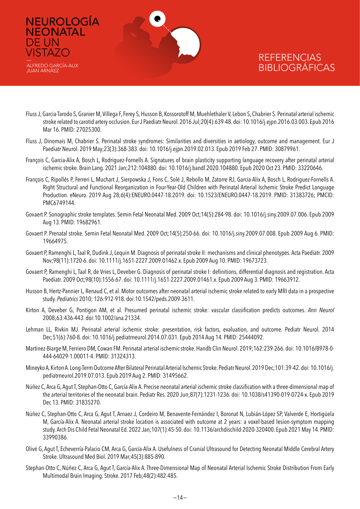

ALFREDO GARCÍA-ALIX JUAN ARNÁEZ

DE UN **VISTAZO** 

- Fluss J, Garcia-Tarodo S, Granier M, Villega F, Ferey S, Husson B, Kossorotoff M, Muehlethaler V, Lebon S, Chabrier S. Perinatal arterial ischemic stroke related to carotid artery occlusion. Eur J Paediatr Neurol. 2016 Jul;20(4):639-48. doi: 10.1016/j.ejpn.2016.03.003. Epub 2016 Mar 16. PMID: 27025300.
- Fluss J, Dinomais M, Chabrier S. Perinatal stroke syndromes: Similarities and diversities in aetiology, outcome and management. Eur J Paediatr Neurol. 2019 May;23(3):368-383. doi: 10.1016/j.ejpn.2019.02.013. Epub 2019 Feb 27. PMID: 30879961.
- François C, Garcia-Alix A, Bosch L, Rodriguez-Fornells A. Signatures of brain plasticity supporting language recovery after perinatal arterial ischemic stroke. Brain Lang. 2021 Jan;212:104880. doi: 10.1016/j.bandl.2020.104880. Epub 2020 Oct 23. PMID: 33220646.
- François C, Ripollés P, Ferreri L, Muchart J, Sierpowska J, Fons C, Solé J, Rebollo M, Zatorre RJ, Garcia-Alix A, Bosch L, Rodriguez-Fornells A. Right Structural and Functional Reorganization in Four-Year-Old Children with Perinatal Arterial Ischemic Stroke Predict Language Production. eNeuro. 2019 Aug 28;6(4):ENEURO.0447-18.2019. doi: 10.1523/ENEURO.0447-18.2019. PMID: 31383726; PMCID: PMC6749144.
- Govaert P. Sonographic stroke templates. Semin Fetal Neonatal Med. 2009 Oct;14(5):284-98. doi: 10.1016/j.siny.2009.07.006. Epub 2009 Aug 13. PMID: 19682961.
- Govaert P. Prenatal stroke. Semin Fetal Neonatal Med. 2009 Oct;14(5):250-66. doi: 10.1016/j.siny.2009.07.008. Epub 2009 Aug 6. PMID: 19664975.
- Govaert P, Ramenghi L, Taal R, Dudink J, Lequin M. Diagnosis of perinatal stroke II: mechanisms and clinical phenotypes. Acta Paediatr. 2009 Nov;98(11):1720-6. doi: 10.1111/j.1651-2227.2009.01462.x. Epub 2009 Aug 10. PMID: 19673723.
- Govaert P, Ramenghi L, Taal R, de Vries L, Deveber G. Diagnosis of perinatal stroke I: definitions, differential diagnosis and registration. Acta Paediatr. 2009 Oct;98(10):1556-67. doi: 10.1111/j.1651-2227.2009.01461.x. Epub 2009 Aug 3. PMID: 19663912.
- Husson B, Hertz-Pannier L, Renaud C, et al. Motor outcomes after neonatal arterial ischemic stroke related to early MRI data in a prospective study. *Pediatrics* 2010; 126:912-918. doi:10.1542/peds.2009-3611.
- Kirton A, Deveber G, Pontigon AM, et al. Presumed perinatal ischemic stroke: vascular classification predicts outcomes. *Ann Neurol* 2008;63:436-443. doi:10.1002/ana.21334.
- Lehman LL, Rivkin MJ. Perinatal arterial ischemic stroke: presentation, risk factors, evaluation, and outcome. Pediatr Neurol. 2014 Dec;51(6):760-8. doi: 10.1016/j.pediatrneurol.2014.07.031. Epub 2014 Aug 14. PMID: 25444092.
- Martinez-Biarge M, Ferriero DM, Cowan FM. Perinatal arterial ischemic stroke. Handb Clin Neurol. 2019;162:239-266. doi: 10.1016/B978-0- 444-64029-1.00011-4. PMID: 31324313.
- Mineyko A, Kirton A. Long-Term Outcome After Bilateral Perinatal Arterial Ischemic Stroke. Pediatr Neurol. 2019 Dec;101:39-42. doi: 10.1016/j. pediatrneurol.2019.07.013. Epub 2019 Aug 2. PMID: 31495662.
- Núñez C, Arca G, Agut T, Stephan-Otto C, García-Alix A. Precise neonatal arterial ischemic stroke classification with a three-dimensional map of the arterial territories of the neonatal brain. Pediatr Res. 2020 Jun;87(7):1231-1236. doi: 10.1038/s41390-019-0724-x. Epub 2019 Dec 13. PMID: 31835270.
- Núñez C, Stephan-Otto C, Arca G, Agut T, Arnaez J, Cordeiro M, Benavente-Fernández I, Boronat N, Lubián-López SP, Valverde E, Hortigüela M, García-Alix A. Neonatal arterial stroke location is associated with outcome at 2 years: a voxel-based lesion-symptom mapping study. Arch Dis Child Fetal Neonatal Ed. 2022 Jan;107(1):45-50. doi: 10.1136/archdischild-2020-320400. Epub 2021 May 14. PMID: 33990386.
- Olivé G, Agut T, Echeverría-Palacio CM, Arca G, García-Alix A. Usefulness of Cranial Ultrasound for Detecting Neonatal Middle Cerebral Artery Stroke. Ultrasound Med Biol. 2019 Mar;45(3):885-890.
- Stephan-Otto C, Núñez C, Arca G, Agut T, García-Alix A. Three-Dimensional Map of Neonatal Arterial Ischemic Stroke Distribution From Early Multimodal Brain Imaging. Stroke. 2017 Feb;48(2):482-485.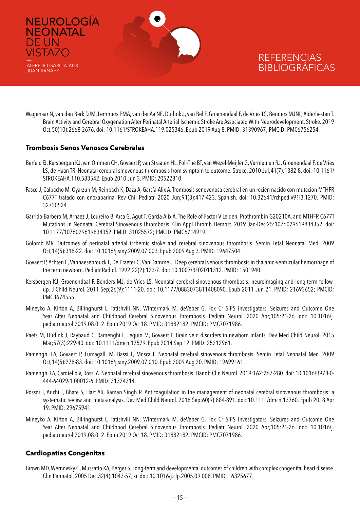

Wagenaar N, van den Berk DJM, Lemmers PMA, van der Aa NE, Dudink J, van Bel F, Groenendaal F, de Vries LS, Benders MJNL, Alderliesten T. Brain Activity and Cerebral Oxygenation After Perinatal Arterial Ischemic Stroke Are Associated With Neurodevelopment. Stroke. 2019 Oct;50(10):2668-2676. doi: 10.1161/STROKEAHA.119.025346. Epub 2019 Aug 8. PMID: 31390967; PMCID: PMC6756254.

#### **Trombosis Senos Venosos Cerebrales**

DE UN VISTAZO —

JUAN ARNÁEZ

- Berfelo FJ, Kersbergen KJ, van Ommen CH, Govaert P, van Straaten HL, Poll-The BT, van Wezel-Meijler G, Vermeulen RJ, Groenendaal F, de Vries LS, de Haan TR. Neonatal cerebral sinovenous thrombosis from symptom to outcome. Stroke. 2010 Jul;41(7):1382-8. doi: 10.1161/ STROKEAHA.110.583542. Epub 2010 Jun 3. PMID: 20522810.
- Fasce J, Calbacho M, Oyarzun M, Reinbach K, Daza A, García-Alix A. Trombosis senovenosa cerebral en un recién nacido con mutación MTHFR C677T tratado con enoxaparina. Rev Chil Pediatr. 2020 Jun;91(3):417-423. Spanish. doi: 10.32641/rchped.v91i3.1270. PMID: 32730524.
- Garrido-Barbero M, Arnaez J, Loureiro B, Arca G, Agut T, Garcia-Alix A. The Role of Factor V Leiden, Prothrombin G20210A, and MTHFR C677T Mutations in Neonatal Cerebral Sinovenous Thrombosis. Clin Appl Thromb Hemost. 2019 Jan-Dec;25:1076029619834352. doi: 10.1177/1076029619834352. PMID: 31025572; PMCID: PMC6714919.
- Golomb MR. Outcomes of perinatal arterial ischemic stroke and cerebral sinovenous thrombosis. Semin Fetal Neonatal Med. 2009 Oct;14(5):318-22. doi: 10.1016/j.siny.2009.07.003. Epub 2009 Aug 3. PMID: 19647504.
- Govaert P, Achten E, Vanhaesebrouck P, De Praeter C, Van Damme J. Deep cerebral venous thrombosis in thalamo-ventricular hemorrhage of the term newborn. Pediatr Radiol. 1992;22(2):123-7. doi: 10.1007/BF02011312. PMID: 1501940.
- Kersbergen KJ, Groenendaal F, Benders MJ, de Vries LS. Neonatal cerebral sinovenous thrombosis: neuroimaging and long-term followup. J Child Neurol. 2011 Sep;26(9):1111-20. doi: 10.1177/0883073811408090. Epub 2011 Jun 21. PMID: 21693652; PMCID: PMC3674555.
- Mineyko A, Kirton A, Billinghurst L, Tatishvili NN, Wintermark M, deVeber G, Fox C; SIPS Investigators. Seizures and Outcome One Year After Neonatal and Childhood Cerebral Sinovenous Thrombosis. Pediatr Neurol. 2020 Apr;105:21-26. doi: 10.1016/j. pediatrneurol.2019.08.012. Epub 2019 Oct 18. PMID: 31882182; PMCID: PMC7071986.
- Raets M, Dudink J, Raybaud C, Ramenghi L, Lequin M, Govaert P. Brain vein disorders in newborn infants. Dev Med Child Neurol. 2015 Mar;57(3):229-40. doi: 10.1111/dmcn.12579. Epub 2014 Sep 12. PMID: 25212961.
- Ramenghi LA, Govaert P, Fumagalli M, Bassi L, Mosca F. Neonatal cerebral sinovenous thrombosis. Semin Fetal Neonatal Med. 2009 Oct;14(5):278-83. doi: 10.1016/j.siny.2009.07.010. Epub 2009 Aug 20. PMID: 19699161.
- Ramenghi LA, Cardiello V, Rossi A. Neonatal cerebral sinovenous thrombosis. Handb Clin Neurol. 2019;162:267-280. doi: 10.1016/B978-0- 444-64029-1.00012-6. PMID: 31324314.
- Rossor T, Arichi T, Bhate S, Hart AR, Raman Singh R. Anticoagulation in the management of neonatal cerebral sinovenous thrombosis: a systematic review and meta-analysis. Dev Med Child Neurol. 2018 Sep;60(9):884-891. doi: 10.1111/dmcn.13760. Epub 2018 Apr 19. PMID: 29675941.
- Mineyko A, Kirton A, Billinghurst L, Tatishvili NN, Wintermark M, deVeber G, Fox C; SIPS Investigators. Seizures and Outcome One Year After Neonatal and Childhood Cerebral Sinovenous Thrombosis. Pediatr Neurol. 2020 Apr;105:21-26. doi: 10.1016/j. pediatrneurol.2019.08.012. Epub 2019 Oct 18. PMID: 31882182; PMCID: PMC7071986.

#### **Cardiopatías Congénitas**

Brown MD, Wernovsky G, Mussatto KA, Berger S. Long-term and developmental outcomes of children with complex congenital heart disease. Clin Perinatol. 2005 Dec;32(4):1043-57, xi. doi: 10.1016/j.clp.2005.09.008. PMID: 16325677.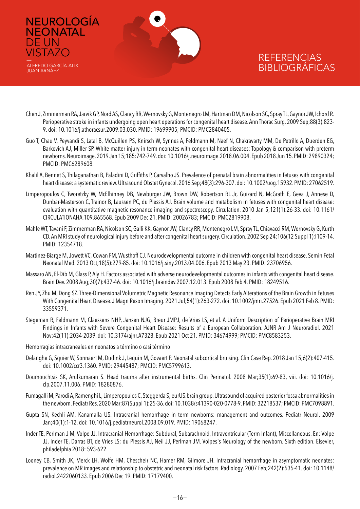

NEUROLOGÍA

**NEONATAL** 

ALFREDO GARCÍA-ALIX JUAN ARNÁEZ

DE UN VISTAZO —

- Chen J, Zimmerman RA, Jarvik GP, Nord AS, Clancy RR, Wernovsky G, Montenegro LM, Hartman DM, Nicolson SC, Spray TL, Gaynor JW, Ichord R. Perioperative stroke in infants undergoing open heart operations for congenital heart disease. Ann Thorac Surg. 2009 Sep;88(3):823- 9. doi: 10.1016/j.athoracsur.2009.03.030. PMID: 19699905; PMCID: PMC2840405.
- Guo T, Chau V, Peyvandi S, Latal B, McQuillen PS, Knirsch W, Synnes A, Feldmann M, Naef N, Chakravarty MM, De Petrillo A, Duerden EG, Barkovich AJ, Miller SP. White matter injury in term neonates with congenital heart diseases: Topology & comparison with preterm newborns. Neuroimage. 2019 Jan 15;185:742-749. doi: 10.1016/j.neuroimage.2018.06.004. Epub 2018 Jun 15. PMID: 29890324; PMCID: PMC6289608.
- Khalil A, Bennet S, Thilaganathan B, Paladini D, Griffiths P, Carvalho JS. Prevalence of prenatal brain abnormalities in fetuses with congenital heart disease: a systematic review. Ultrasound Obstet Gynecol. 2016 Sep;48(3):296-307. doi: 10.1002/uog.15932. PMID: 27062519.
- Limperopoulos C, Tworetzky W, McElhinney DB, Newburger JW, Brown DW, Robertson RL Jr, Guizard N, McGrath E, Geva J, Annese D, Dunbar-Masterson C, Trainor B, Laussen PC, du Plessis AJ. Brain volume and metabolism in fetuses with congenital heart disease: evaluation with quantitative magnetic resonance imaging and spectroscopy. Circulation. 2010 Jan 5;121(1):26-33. doi: 10.1161/ CIRCULATIONAHA.109.865568. Epub 2009 Dec 21. PMID: 20026783; PMCID: PMC2819908.
- Mahle WT, Tavani F, Zimmerman RA, Nicolson SC, Galli KK, Gaynor JW, Clancy RR, Montenegro LM, Spray TL, Chiavacci RM, Wernovsky G, Kurth CD. An MRI study of neurological injury before and after congenital heart surgery. Circulation. 2002 Sep 24;106(12 Suppl 1):I109-14. PMID: 12354718.
- Martinez-Biarge M, Jowett VC, Cowan FM, Wusthoff CJ. Neurodevelopmental outcome in children with congenital heart disease. Semin Fetal Neonatal Med. 2013 Oct;18(5):279-85. doi: 10.1016/j.siny.2013.04.006. Epub 2013 May 23. PMID: 23706956.
- Massaro AN, El-Dib M, Glass P, Aly H. Factors associated with adverse neurodevelopmental outcomes in infants with congenital heart disease. Brain Dev. 2008 Aug;30(7):437-46. doi: 10.1016/j.braindev.2007.12.013. Epub 2008 Feb 4. PMID: 18249516.
- Ren JY, Zhu M, Dong SZ. Three-Dimensional Volumetric Magnetic Resonance Imaging Detects Early Alterations of the Brain Growth in Fetuses With Congenital Heart Disease. J Magn Reson Imaging. 2021 Jul;54(1):263-272. doi: 10.1002/jmri.27526. Epub 2021 Feb 8. PMID: 33559371.
- Stegeman R, Feldmann M, Claessens NHP, Jansen NJG, Breur JMPJ, de Vries LS, et al. A Uniform Description of Perioperative Brain MRI Findings in Infants with Severe Congenital Heart Disease: Results of a European Collaboration. AJNR Am J Neuroradiol. 2021 Nov;42(11):2034-2039. doi: 10.3174/ajnr.A7328. Epub 2021 Oct 21. PMID: 34674999; PMCID: PMC8583253.
- Hemorragias intracraneales en neonatos a término o casi término
- Delanghe G, Squier W, Sonnaert M, Dudink J, Lequin M, Govaert P. Neonatal subcortical bruising. Clin Case Rep. 2018 Jan 15;6(2):407-415. doi: 10.1002/ccr3.1360. PMID: 29445487; PMCID: PMC5799613.
- Doumouchtsis SK, Arulkumaran S. Head trauma after instrumental births. Clin Perinatol. 2008 Mar;35(1):69-83, viii. doi: 10.1016/j. clp.2007.11.006. PMID: 18280876.
- Fumagalli M, Parodi A, Ramenghi L, Limperopoulos C, Steggerda S; eurUS.brain group. Ultrasound of acquired posterior fossa abnormalities in the newborn. Pediatr Res. 2020 Mar;87(Suppl 1):25-36. doi: 10.1038/s41390-020-0778-9. PMID: 32218537; PMCID: PMC7098891.
- Gupta SN, Kechli AM, Kanamalla US. Intracranial hemorrhage in term newborns: management and outcomes. Pediatr Neurol. 2009 Jan;40(1):1-12. doi: 10.1016/j.pediatrneurol.2008.09.019. PMID: 19068247.
- Inder TE, Perlman J M, Volpe JJ. Intracranial Hemorrhage: Subdural, Subarachnoid, Intraventricular (Term Infant), Miscellaneous. En: Volpe JJ, Inder TE, Darras BT, de Vries LS; du Plessis AJ, Neil JJ, Perlman JM. Volpes´s Neurology of the newborn. Sixth edition. Elsevier, philadelphia 2018: 593-622.
- Looney CB, Smith JK, Merck LH, Wolfe HM, Chescheir NC, Hamer RM, Gilmore JH. Intracranial hemorrhage in asymptomatic neonates: prevalence on MR images and relationship to obstetric and neonatal risk factors. Radiology. 2007 Feb;242(2):535-41. doi: 10.1148/ radiol.2422060133. Epub 2006 Dec 19. PMID: 17179400.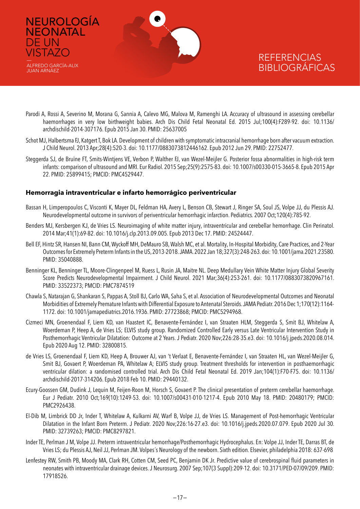

DE UN **VISTAZO** 

JUAN ARNÁEZ

### **REFERENCIAS** BIBLIOGRÁFICAS

- Parodi A, Rossi A, Severino M, Morana G, Sannia A, Calevo MG, Malova M, Ramenghi LA. Accuracy of ultrasound in assessing cerebellar haemorrhages in very low birthweight babies. Arch Dis Child Fetal Neonatal Ed. 2015 Jul;100(4):F289-92. doi: 10.1136/ archdischild-2014-307176. Epub 2015 Jan 30. PMID: 25637005
- Schot MJ, Halbertsma FJ, Katgert T, Bok LA. Development of children with symptomatic intracranial hemorrhage born after vacuum extraction. J Child Neurol. 2013 Apr;28(4):520-3. doi: 10.1177/0883073812446162. Epub 2012 Jun 29. PMID: 22752477.
- Steggerda SJ, de Bruïne FT, Smits-Wintjens VE, Verbon P, Walther FJ, van Wezel-Meijler G. Posterior fossa abnormalities in high-risk term infants: comparison of ultrasound and MRI. Eur Radiol. 2015 Sep;25(9):2575-83. doi: 10.1007/s00330-015-3665-8. Epub 2015 Apr 22. PMID: 25899415; PMCID: PMC4529447.

#### **Hemorragia intraventricular e infarto hemorrágico periventricular**

- Bassan H, Limperopoulos C, Visconti K, Mayer DL, Feldman HA, Avery L, Benson CB, Stewart J, Ringer SA, Soul JS, Volpe JJ, du Plessis AJ. Neurodevelopmental outcome in survivors of periventricular hemorrhagic infarction. Pediatrics. 2007 Oct;120(4):785-92.
- Benders MJ, Kersbergen KJ, de Vries LS. Neuroimaging of white matter injury, intraventricular and cerebellar hemorrhage. Clin Perinatol. 2014 Mar;41(1):69-82. doi: 10.1016/j.clp.2013.09.005. Epub 2013 Dec 17. PMID: 24524447.
- Bell EF, Hintz SR, Hansen NI, Bann CM, Wyckoff MH, DeMauro SB, Walsh MC, et al. Mortality, In-Hospital Morbidity, Care Practices, and 2-Year Outcomes for Extremely Preterm Infants in the US, 2013-2018. JAMA. 2022 Jan 18;327(3):248-263. doi: 10.1001/jama.2021.23580. PMID: 35040888.
- Benninger KL, Benninger TL, Moore-Clingenpeel M, Ruess L, Rusin JA, Maitre NL. Deep Medullary Vein White Matter Injury Global Severity Score Predicts Neurodevelopmental Impairment. J Child Neurol. 2021 Mar;36(4):253-261. doi: 10.1177/0883073820967161. PMID: 33522373; PMCID: PMC7874519
- Chawla S, Natarajan G, Shankaran S, Pappas A, Stoll BJ, Carlo WA, Saha S, et al. Association of Neurodevelopmental Outcomes and Neonatal Morbidities of Extremely Premature Infants with Differential Exposure to Antenatal Steroids. JAMA Pediatr. 2016 Dec 1;170(12):1164- 1172. doi: 10.1001/jamapediatrics.2016.1936. PMID: 27723868; PMCID: PMC5294968.
- Cizmeci MN, Groenendaal F, Liem KD, van Haastert IC, Benavente-Fernández I, van Straaten HLM, Steggerda S, Smit BJ, Whitelaw A, Woerdeman P, Heep A, de Vries LS; ELVIS study group. Randomized Controlled Early versus Late Ventricular Intervention Study in Posthemorrhagic Ventricular Dilatation: Outcome at 2 Years. J Pediatr. 2020 Nov;226:28-35.e3. doi: 10.1016/j.jpeds.2020.08.014. Epub 2020 Aug 12. PMID: 32800815.
- de Vries LS, Groenendaal F, Liem KD, Heep A, Brouwer AJ, van 't Verlaat E, Benavente-Fernández I, van Straaten HL, van Wezel-Meijler G, Smit BJ, Govaert P, Woerdeman PA, Whitelaw A; ELVIS study group. Treatment thresholds for intervention in posthaemorrhagic ventricular dilation: a randomised controlled trial. Arch Dis Child Fetal Neonatal Ed. 2019 Jan;104(1):F70-F75. doi: 10.1136/ archdischild-2017-314206. Epub 2018 Feb 10. PMID: 29440132.
- Ecury-Goossen GM, Dudink J, Lequin M, Feijen-Roon M, Horsch S, Govaert P. The clinical presentation of preterm cerebellar haemorrhage. Eur J Pediatr. 2010 Oct;169(10):1249-53. doi: 10.1007/s00431-010-1217-4. Epub 2010 May 18. PMID: 20480179; PMCID: PMC2926438.
- El-Dib M, Limbrick DD Jr, Inder T, Whitelaw A, Kulkarni AV, Warf B, Volpe JJ, de Vries LS. Management of Post-hemorrhagic Ventricular Dilatation in the Infant Born Preterm. J Pediatr. 2020 Nov;226:16-27.e3. doi: 10.1016/j.jpeds.2020.07.079. Epub 2020 Jul 30. PMID: 32739263; PMCID: PMC8297821.
- Inder TE, Perlman J M, Volpe JJ. Preterm intraventricular hemorrhage/Posthemorrhagic Hydrocephalus. En: Volpe JJ, Inder TE, Darras BT, de Vries LS; du Plessis AJ, Neil JJ, Perlman JM. Volpes´s Neurology of the newborn. Sixth edition. Elsevier, philadelphia 2018: 637-698
- Lenfestey RW, Smith PB, Moody MA, Clark RH, Cotten CM, Seed PC, Benjamin DK Jr. Predictive value of cerebrospinal fluid parameters in neonates with intraventricular drainage devices. J Neurosurg. 2007 Sep;107(3 Suppl):209-12. doi: 10.3171/PED-07/09/209. PMID: 17918526.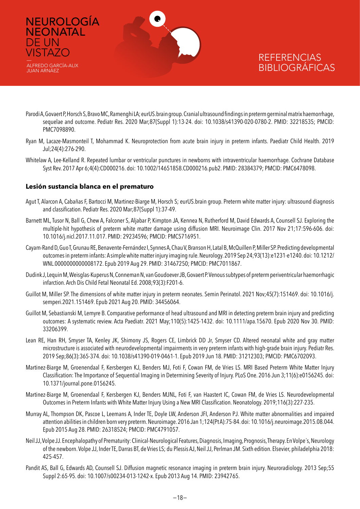

- Parodi A, Govaert P, Horsch S, Bravo MC, Ramenghi LA; eurUS.brain group. Cranial ultrasound findings in preterm germinal matrix haemorrhage, sequelae and outcome. Pediatr Res. 2020 Mar;87(Suppl 1):13-24. doi: 10.1038/s41390-020-0780-2. PMID: 32218535; PMCID: PMC7098890.
- Ryan M, Lacaze-Masmonteil T, Mohammad K. Neuroprotection from acute brain injury in preterm infants. Paediatr Child Health. 2019 Jul;24(4):276-290.
- Whitelaw A, Lee-Kelland R. Repeated lumbar or ventricular punctures in newborns with intraventricular haemorrhage. Cochrane Database Syst Rev. 2017 Apr 6;4(4):CD000216. doi: 10.1002/14651858.CD000216.pub2. PMID: 28384379; PMCID: PMC6478098.

#### **Lesión sustancia blanca en el prematuro**

DE UN

- Agut T, Alarcon A, Cabañas F, Bartocci M, Martinez-Biarge M, Horsch S; eurUS.brain group. Preterm white matter injury: ultrasound diagnosis and classification. Pediatr Res. 2020 Mar;87(Suppl 1):37-49.
- Barnett ML, Tusor N, Ball G, Chew A, Falconer S, Aljabar P, Kimpton JA, Kennea N, Rutherford M, David Edwards A, Counsell SJ. Exploring the multiple-hit hypothesis of preterm white matter damage using diffusion MRI. Neuroimage Clin. 2017 Nov 21;17:596-606. doi: 10.1016/j.nicl.2017.11.017. PMID: 29234596; PMCID: PMC5716951.
- Cayam-Rand D, Guo T, Grunau RE, Benavente-Fernández I, Synnes A, Chau V, Branson H, Latal B, McQuillen P, Miller SP. Predicting developmental outcomes in preterm infants: A simple white matter injury imaging rule. Neurology. 2019 Sep 24;93(13):e1231-e1240. doi: 10.1212/ WNL.0000000000008172. Epub 2019 Aug 29. PMID: 31467250; PMCID: PMC7011867.
- Dudink J, Lequin M, Weisglas-Kuperus N, Conneman N, van Goudoever JB, Govaert P. Venous subtypes of preterm periventricular haemorrhagic infarction. Arch Dis Child Fetal Neonatal Ed. 2008;93(3):F201-6.
- Guillot M, Miller SP. The dimensions of white matter injury in preterm neonates. Semin Perinatol. 2021 Nov;45(7):151469. doi: 10.1016/j. semperi.2021.151469. Epub 2021 Aug 20. PMID: 34456064.
- Guillot M, Sebastianski M, Lemyre B. Comparative performance of head ultrasound and MRI in detecting preterm brain injury and predicting outcomes: A systematic review. Acta Paediatr. 2021 May;110(5):1425-1432. doi: 10.1111/apa.15670. Epub 2020 Nov 30. PMID: 33206399.
- Lean RE, Han RH, Smyser TA, Kenley JK, Shimony JS, Rogers CE, Limbrick DD Jr, Smyser CD. Altered neonatal white and gray matter microstructure is associated with neurodevelopmental impairments in very preterm infants with high-grade brain injury. Pediatr Res. 2019 Sep;86(3):365-374. doi: 10.1038/s41390-019-0461-1. Epub 2019 Jun 18. PMID: 31212303; PMCID: PMC6702093.
- Martinez-Biarge M, Groenendaal F, Kersbergen KJ, Benders MJ, Foti F, Cowan FM, de Vries LS. MRI Based Preterm White Matter Injury Classification: The Importance of Sequential Imaging in Determining Severity of Injury. PLoS One. 2016 Jun 3;11(6):e0156245. doi: 10.1371/journal.pone.0156245.
- Martinez-Biarge M, Groenendaal F, Kersbergen KJ, Benders MJNL, Foti F, van Haastert IC, Cowan FM, de Vries LS. Neurodevelopmental Outcomes in Preterm Infants with White Matter Injury Using a New MRI Classification. Neonatology. 2019;116(3):227-235.
- Murray AL, Thompson DK, Pascoe L, Leemans A, Inder TE, Doyle LW, Anderson JFI, Anderson PJ. White matter abnormalities and impaired attention abilities in children born very preterm. Neuroimage. 2016 Jan 1;124(Pt A):75-84. doi: 10.1016/j.neuroimage.2015.08.044. Epub 2015 Aug 28. PMID: 26318524; PMCID: PMC4791057.
- Neil JJ, Volpe JJ. Encephalopathy of Prematurity: Clinical-Neurological Features, Diagnosis, Imaging, Prognosis, Therapy. En Volpe´s, Neurology of the newborn. Volpe JJ, Inder TE, Darras BT, de Vries LS; du Plessis AJ, Neil JJ, Perlman JM. Sixth edition. Elsevier, philadelphia 2018: 425-457.
- Pandit AS, Ball G, Edwards AD, Counsell SJ. Diffusion magnetic resonance imaging in preterm brain injury. Neuroradiology. 2013 Sep;55 Suppl 2:65-95. doi: 10.1007/s00234-013-1242-x. Epub 2013 Aug 14. PMID: 23942765.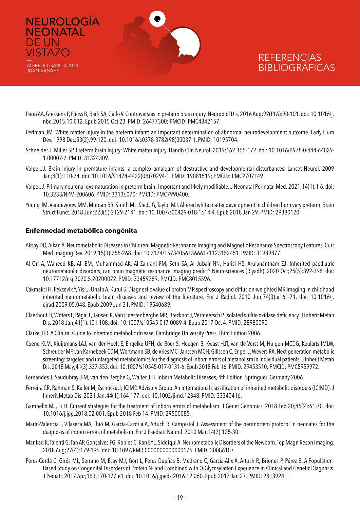

- Penn AA, Gressens P, Fleiss B, Back SA, Gallo V. Controversies in preterm brain injury. Neurobiol Dis. 2016 Aug;92(Pt A):90-101. doi: 10.1016/j. nbd.2015.10.012. Epub 2015 Oct 23. PMID: 26477300; PMCID: PMC4842157.
- Perlman JM. White matter injury in the preterm infant: an important determination of abnormal neurodevelopment outcome. Early Hum Dev. 1998 Dec;53(2):99-120. doi: 10.1016/s0378-3782(98)00037-1. PMID: 10195704.
- Schneider J, Miller SP. Preterm brain Injury: White matter injury. Handb Clin Neurol. 2019;162:155-172. doi: 10.1016/B978-0-444-64029- 1.00007-2. PMID: 31324309.
- Volpe JJ. Brain injury in premature infants: a complex amalgam of destructive and developmental disturbances. Lancet Neurol. 2009 Jan;8(1):110-24. doi: 10.1016/S1474-4422(08)70294-1. PMID: 19081519; PMCID: PMC2707149.
- Volpe JJ. Primary neuronal dysmaturation in preterm brain: Important and likely modifiable. J Neonatal Perinatal Med. 2021;14(1):1-6. doi: 10.3233/NPM-200606. PMID: 33136070; PMCID: PMC7990400.
- Young JM, Vandewouw MM, Morgan BR, Smith ML, Sled JG, Taylor MJ. Altered white matter development in children born very preterm. Brain Struct Funct. 2018 Jun;223(5):2129-2141. doi: 10.1007/s00429-018-1614-4. Epub 2018 Jan 29. PMID: 29380120.

#### **Enfermedad metabólica congénita**

DE UN **VISTAZO** 

- Aksoy DÖ, Alkan A. Neurometabolic Diseases in Children: Magnetic Resonance Imaging and Magnetic Resonance Spectroscopy Features. Curr Med Imaging Rev. 2019;15(3):255-268. doi: 10.2174/1573405613666171123152451. PMID: 31989877.
- Al Orf A, Waheed KB, Ali EM, Muhammad AK, Al Zahrani FM, Seth SA, Al Jubair NN, Harisi HS, Arulanantham ZJ. Inherited paediatric neurometabolic disorders, can brain magnetic resonance imaging predict? Neurosciences (Riyadh). 2020 Oct;25(5):392-398. doi: 10.17712/nsj.2020.5.20200072. PMID: 33459289; PMCID: PMC8015596.
- Cakmakci H, Pekcevik Y, Yis U, Unalp A, Kurul S. Diagnostic value of proton MR spectroscopy and diffusion-weighted MR imaging in childhood inherited neurometabolic brain diseases and review of the literature. Eur J Radiol. 2010 Jun;74(3):e161-71. doi: 10.1016/j. ejrad.2009.05.048. Epub 2009 Jun 21. PMID: 19540689.
- Claerhout H, Witters P, Régal L, Jansen K, Van Hoestenberghe MR, Breckpot J, Vermeersch P. Isolated sulfite oxidase deficiency. J Inherit Metab Dis. 2018 Jan;41(1):101-108. doi: 10.1007/s10545-017-0089-4. Epub 2017 Oct 4. PMID: 28980090.
- Clarke JTR. A Clinical Guide to inherited metabolic disease. Cambridge University Press. Third Edition 2006.
- Coene KLM, Kluijtmans LAJ, van der Heeft E, Engelke UFH, de Boer S, Hoegen B, Kwast HJT, van de Vorst M, Huigen MCDG, Keularts IMLW, Schreuder MF, van Karnebeek CDM, Wortmann SB, de Vries MC, Janssen MCH, Gilissen C, Engel J, Wevers RA. Next-generation metabolic screening: targeted and untargeted metabolomics for the diagnosis of inborn errors of metabolism in individual patients. J Inherit Metab Dis. 2018 May;41(3):337-353. doi: 10.1007/s10545-017-0131-6. Epub 2018 Feb 16. PMID: 29453510; PMCID: PMC5959972.
- Fernandes J, Saudubray J-M, van den Berghe G, Walter J H. Inborn Metabolic Diseases, 4th Edition. Springuer. Germany 2006.
- Ferreira CR, Rahman S, Keller M, Zschocke J; ICIMD Advisory Group. An international classification of inherited metabolic disorders (ICIMD). J Inherit Metab Dis. 2021 Jan;44(1):164-177. doi: 10.1002/jimd.12348. PMID: 33340416.
- Gambello MJ, Li H. Current strategies for the treatment of inborn errors of metabolism. J Genet Genomics. 2018 Feb 20;45(2):61-70. doi: 10.1016/j.jgg.2018.02.001. Epub 2018 Feb 14. PMID: 29500085.
- Marín-Valencia I, Vilaseca MA, Thió M, García-Cazorla A, Artuch R, Campistol J. Assessment of the perimortem protocol in neonates for the diagnosis of inborn errors of metabolism. Eur J Paediatr Neurol. 2010 Mar;14(2):125-30.
- Mankad K, Talenti G, Tan AP, Gonçalves FG, Robles C, Kan EYL, Siddiqui A. Neurometabolic Disorders of the Newborn. Top Magn Reson Imaging. 2018 Aug;27(4):179-196. doi: 10.1097/RMR.0000000000000176. PMID: 30086107.
- Pérez-Cerdá C, Girós ML, Serrano M, Ecay MJ, Gort L, Pérez Dueñas B, Medrano C, García-Alix A, Artuch R, Briones P, Pérez B. A Population-Based Study on Congenital Disorders of Protein N- and Combined with O-Glycosylation Experience in Clinical and Genetic Diagnosis. J Pediatr. 2017 Apr;183:170-177.e1. doi: 10.1016/j.jpeds.2016.12.060. Epub 2017 Jan 27. PMID: 28139241.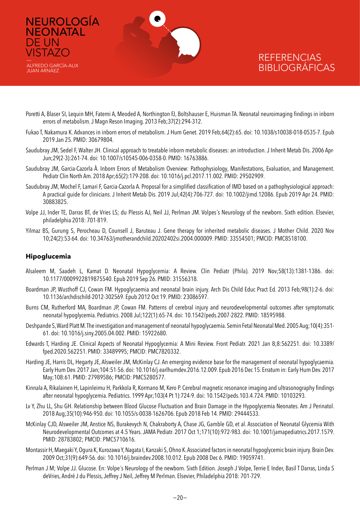

- Poretti A, Blaser SI, Lequin MH, Fatemi A, Meoded A, Northington FJ, Boltshauser E, Huisman TA. Neonatal neuroimaging findings in inborn errors of metabolism. J Magn Reson Imaging. 2013 Feb;37(2):294-312.
- Fukao T, Nakamura K. Advances in inborn errors of metabolism. J Hum Genet. 2019 Feb;64(2):65. doi: 10.1038/s10038-018-0535-7. Epub 2019 Jan 25. PMID: 30679804.
- Saudubray JM, Sedel F, Walter JH. Clinical approach to treatable inborn metabolic diseases: an introduction. J Inherit Metab Dis. 2006 Apr-Jun;29(2-3):261-74. doi: 10.1007/s10545-006-0358-0. PMID: 16763886.
- Saudubray JM, Garcia-Cazorla À. Inborn Errors of Metabolism Overview: Pathophysiology, Manifestations, Evaluation, and Management. Pediatr Clin North Am. 2018 Apr;65(2):179-208. doi: 10.1016/j.pcl.2017.11.002. PMID: 29502909.
- Saudubray JM, Mochel F, Lamari F, Garcia-Cazorla A. Proposal for a simplified classification of IMD based on a pathophysiological approach: A practical guide for clinicians. J Inherit Metab Dis. 2019 Jul;42(4):706-727. doi: 10.1002/jimd.12086. Epub 2019 Apr 24. PMID: 30883825.
- Volpe JJ, Inder TE, Darras BT, de Vries LS; du Plessis AJ, Neil JJ, Perlman JM. Volpes´s Neurology of the newborn. Sixth edition. Elsevier, philadelphia 2018: 701-819.
- Yilmaz BS, Gurung S, Perocheau D, Counsell J, Baruteau J. Gene therapy for inherited metabolic diseases. J Mother Child. 2020 Nov 10;24(2):53-64. doi: 10.34763/jmotherandchild.20202402si.2004.000009. PMID: 33554501; PMCID: PMC8518100.

#### **Hipoglucemia**

DE UN

- Alsaleem M, Saadeh L, Kamat D. Neonatal Hypoglycemia: A Review. Clin Pediatr (Phila). 2019 Nov;58(13):1381-1386. doi: 10.1177/0009922819875540. Epub 2019 Sep 26. PMID: 31556318.
- Boardman JP, Wusthoff CJ, Cowan FM. Hypoglycaemia and neonatal brain injury. Arch Dis Child Educ Pract Ed. 2013 Feb;98(1):2-6. doi: 10.1136/archdischild-2012-302569. Epub 2012 Oct 19. PMID: 23086597.
- Burns CM, Rutherford MA, Boardman JP, Cowan FM. Patterns of cerebral injury and neurodevelopmental outcomes after symptomatic neonatal hypoglycemia. Pediatrics. 2008 Jul;122(1):65-74. doi: 10.1542/peds.2007-2822. PMID: 18595988.
- Deshpande S, Ward Platt M. The investigation and management of neonatal hypoglycaemia. Semin Fetal Neonatal Med. 2005 Aug;10(4):351- 61. doi: 10.1016/j.siny.2005.04.002. PMID: 15922680.
- Edwards T, Harding JE. Clinical Aspects of Neonatal Hypoglycemia: A Mini Review. Front Pediatr. 2021 Jan 8;8:562251. doi: 10.3389/ fped.2020.562251. PMID: 33489995; PMCID: PMC7820332.
- Harding JE, Harris DL, Hegarty JE, Alsweiler JM, McKinlay CJ. An emerging evidence base for the management of neonatal hypoglycaemia. Early Hum Dev. 2017 Jan;104:51-56. doi: 10.1016/j.earlhumdev.2016.12.009. Epub 2016 Dec 15. Erratum in: Early Hum Dev. 2017 May;108:61. PMID: 27989586; PMCID: PMC5280577.
- Kinnala A, Rikalainen H, Lapinleimu H, Parkkola R, Kormano M, Kero P. Cerebral magnetic resonance imaging and ultrasonography findings after neonatal hypoglycemia. Pediatrics. 1999 Apr;103(4 Pt 1):724-9. doi: 10.1542/peds.103.4.724. PMID: 10103293.
- Lv Y, Zhu LL, Shu GH. Relationship between Blood Glucose Fluctuation and Brain Damage in the Hypoglycemia Neonates. Am J Perinatol. 2018 Aug;35(10):946-950. doi: 10.1055/s-0038-1626706. Epub 2018 Feb 14. PMID: 29444533.
- McKinlay CJD, Alsweiler JM, Anstice NS, Burakevych N, Chakraborty A, Chase JG, Gamble GD, et al. Association of Neonatal Glycemia With Neurodevelopmental Outcomes at 4.5 Years. JAMA Pediatr. 2017 Oct 1;171(10):972-983. doi: 10.1001/jamapediatrics.2017.1579. PMID: 28783802; PMCID: PMC5710616.
- Montassir H, Maegaki Y, Ogura K, Kurozawa Y, Nagata I, Kanzaki S, Ohno K. Associated factors in neonatal hypoglycemic brain injury. Brain Dev. 2009 Oct;31(9):649-56. doi: 10.1016/j.braindev.2008.10.012. Epub 2008 Dec 6. PMID: 19059741.
- Perlman J M; Volpe JJ. Glucose. En: Volpe´s Neurology of the newborn. Sixth Edition. Joseph J Volpe, Terrie E Inder, Basil T Darras, Linda S deVries, André J du Plessis, Jeffrey J Neil, Jeffrey M Perlman. Elsevier, Philadelphia 2018: 701-729.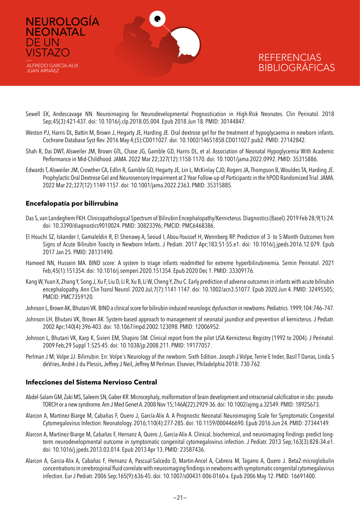

- Sewell EK, Andescavage NN. Neuroimaging for Neurodevelopmental Prognostication in High-Risk Neonates. Clin Perinatol. 2018 Sep;45(3):421-437. doi: 10.1016/j.clp.2018.05.004. Epub 2018 Jun 18. PMID: 30144847.
- Weston PJ, Harris DL, Battin M, Brown J, Hegarty JE, Harding JE. Oral dextrose gel for the treatment of hypoglycaemia in newborn infants. Cochrane Database Syst Rev. 2016 May 4;(5):CD011027. doi: 10.1002/14651858.CD011027.pub2. PMID: 27142842.
- Shah R, Dai DWT, Alsweiler JM, Brown GTL, Chase JG, Gamble GD, Harris DL, et al. Association of Neonatal Hypoglycemia With Academic Performance in Mid-Childhood. JAMA. 2022 Mar 22;327(12):1158-1170. doi: 10.1001/jama.2022.0992. PMID: 35315886.
- Edwards T, Alsweiler JM, Crowther CA, Edlin R, Gamble GD, Hegarty JE, Lin L, McKinlay CJD, Rogers JA, Thompson B, Wouldes TA, Harding JE. Prophylactic Oral Dextrose Gel and Neurosensory Impairment at 2-Year Follow-up of Participants in the hPOD Randomized Trial. JAMA. 2022 Mar 22;327(12):1149-1157. doi: 10.1001/jama.2022.2363. PMID: 35315885.

#### **Encefalopatía por bilirrubina**

DE UN **VISTAZO** 

JUAN ARNÁEZ

- Das S, van Landeghem FKH. Clinicopathological Spectrum of Bilirubin Encephalopathy/Kernicterus. Diagnostics (Basel). 2019 Feb 28;9(1):24. doi: 10.3390/diagnostics9010024. PMID: 30823396; PMCID: PMC6468386.
- El Houchi SZ, Iskander I, Gamaleldin R, El Shenawy A, Seoud I, Abou-Youssef H, Wennberg RP. Prediction of 3- to 5-Month Outcomes from Signs of Acute Bilirubin Toxicity in Newborn Infants. J Pediatr. 2017 Apr;183:51-55.e1. doi: 10.1016/j.jpeds.2016.12.079. Epub 2017 Jan 25. PMID: 28131490.
- Hameed NN, Hussein MA. BIND score: A system to triage infants readmitted for extreme hyperbilirubinemia. Semin Perinatol. 2021 Feb;45(1):151354. doi: 10.1016/j.semperi.2020.151354. Epub 2020 Dec 1. PMID: 33309176.
- Kang W, Yuan X, Zhang Y, Song J, Xu F, Liu D, Li R, Xu B, Li W, Cheng Y, Zhu C. Early prediction of adverse outcomes in infants with acute bilirubin encephalopathy. Ann Clin Transl Neurol. 2020 Jul;7(7):1141-1147. doi: 10.1002/acn3.51077. Epub 2020 Jun 4. PMID: 32495505; PMCID: PMC7359120.
- Johnson L, Brown AK, Bhutani VK. BIND a clinical score for bilirubin-induced neurologic dysfunction in newborns. Pediatrics. 1999;104:746–747.
- Johnson LH, Bhutani VK, Brown AK. System-based approach to management of neonatal jaundice and prevention of kernicterus. J Pediatr. 2002 Apr;140(4):396-403. doi: 10.1067/mpd.2002.123098. PMID: 12006952.
- Johnson L, Bhutani VK, Karp K, Sivieri EM, Shapiro SM. Clinical report from the pilot USA Kernicterus Registry (1992 to 2004). J Perinatol. 2009 Feb;29 Suppl 1:S25-45. doi: 10.1038/jp.2008.211. PMID: 19177057.
- Perlman J M; Volpe JJ. Bilirrubin. En: Volpe´s Neurology of the newborn. Sixth Edition. Joseph J Volpe, Terrie E Inder, Basil T Darras, Linda S deVries, André J du Plessis, Jeffrey J Neil, Jeffrey M Perlman. Elsevier, Philadelphia 2018: 730-762.

#### **Infecciones del Sistema Nervioso Central**

- Abdel-Salam GM, Zaki MS, Saleem SN, Gaber KR. Microcephaly, malformation of brain development and intracranial calcification in sibs: pseudo-TORCH or a new syndrome. Am J Med Genet A. 2008 Nov 15;146A(22):2929-36. doi: 10.1002/ajmg.a.32549. PMID: 18925673.
- Alarcon A, Martinez-Biarge M, Cabañas F, Quero J, García-Alix A. A Prognostic Neonatal Neuroimaging Scale for Symptomatic Congenital Cytomegalovirus Infection. Neonatology. 2016;110(4):277-285. doi: 10.1159/000446690. Epub 2016 Jun 24. PMID: 27344149.
- Alarcon A, Martinez-Biarge M, Cabañas F, Hernanz A, Quero J, Garcia-Alix A. Clinical, biochemical, and neuroimaging findings predict longterm neurodevelopmental outcome in symptomatic congenital cytomegalovirus infection. J Pediatr. 2013 Sep;163(3):828-34.e1. doi: 10.1016/j.jpeds.2013.03.014. Epub 2013 Apr 13. PMID: 23587436.
- Alarcon A, Garcia-Alix A, Cabañas F, Hernanz A, Pascual-Salcedo D, Martin-Ancel A, Cabrera M, Tagarro A, Quero J. Beta2-microglobulin concentrations in cerebrospinal fluid correlate with neuroimaging findings in newborns with symptomatic congenital cytomegalovirus infection. Eur J Pediatr. 2006 Sep;165(9):636-45. doi: 10.1007/s00431-006-0160-x. Epub 2006 May 12. PMID: 16691400.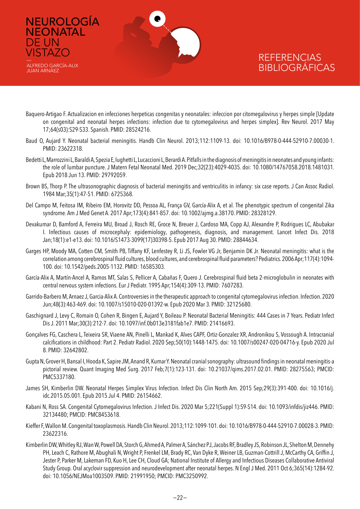

ALFREDO GARCÍA-ALIX JUAN ARNÁEZ

DE UN **VISTAZO** 

- Baquero-Artigao F. Actualizacion en infecciones herpeticas congenitas y neonatales: infeccion por citomegalovirus y herpes simple [Update on congenital and neonatal herpes infections: infection due to cytomegalovirus and herpes simplex]. Rev Neurol. 2017 May 17;64(s03):S29-S33. Spanish. PMID: 28524216.
- Baud O, Aujard Y. Neonatal bacterial meningitis. Handb Clin Neurol. 2013;112:1109-13. doi: 10.1016/B978-0-444-52910-7.00030-1. PMID: 23622318.
- Bedetti L, Marrozzini L, Baraldi A, Spezia E, Iughetti L, Lucaccioni L, Berardi A. Pitfalls in the diagnosis of meningitis in neonates and young infants: the role of lumbar puncture. J Matern Fetal Neonatal Med. 2019 Dec;32(23):4029-4035. doi: 10.1080/14767058.2018.1481031. Epub 2018 Jun 13. PMID: 29792059.
- Brown BS, Thorp P. The ultrasonographic diagnosis of bacterial meningitis and ventriculitis in infancy: six case reports. J Can Assoc Radiol. 1984 Mar;35(1):47-51. PMID: 6725368.
- Del Campo M, Feitosa IM, Ribeiro EM, Horovitz DD, Pessoa AL, França GV, García-Alix A, et al. The phenotypic spectrum of congenital Zika syndrome. Am J Med Genet A. 2017 Apr;173(4):841-857. doi: 10.1002/ajmg.a.38170. PMID: 28328129.
- Devakumar D, Bamford A, Ferreira MU, Broad J, Rosch RE, Groce N, Breuer J, Cardoso MA, Copp AJ, Alexandre P, Rodrigues LC, Abubakar I. Infectious causes of microcephaly: epidemiology, pathogenesis, diagnosis, and management. Lancet Infect Dis. 2018 Jan;18(1):e1-e13. doi: 10.1016/S1473-3099(17)30398-5. Epub 2017 Aug 30. PMID: 28844634.
- Garges HP, Moody MA, Cotten CM, Smith PB, Tiffany KF, Lenfestey R, Li JS, Fowler VG Jr, Benjamin DK Jr. Neonatal meningitis: what is the correlation among cerebrospinal fluid cultures, blood cultures, and cerebrospinal fluid parameters? Pediatrics. 2006 Apr;117(4):1094- 100. doi: 10.1542/peds.2005-1132. PMID: 16585303.
- García-Alix A, Martín-Ancel A, Ramos MT, Salas S, Pellicer A, Cabañas F, Quero J. Cerebrospinal fluid beta 2-microglobulin in neonates with central nervous system infections. Eur J Pediatr. 1995 Apr;154(4):309-13. PMID: 7607283.
- Garrido-Barbero M, Arnaez J, Garcia-Alix A. Controversies in the therapeutic approach to congenital cytomegalovirus infection. Infection. 2020 Jun;48(3):463-469. doi: 10.1007/s15010-020-01392-w. Epub 2020 Mar 3. PMID: 32125680.
- Gaschignard J, Levy C, Romain O, Cohen R, Bingen E, Aujard Y, Boileau P. Neonatal Bacterial Meningitis: 444 Cases in 7 Years. Pediatr Infect Dis J. 2011 Mar;30(3):212-7. doi: 10.1097/inf.0b013e3181fab1e7. PMID: 21416693.
- Gonçalves FG, Caschera L, Teixeira SR, Viaene AN, Pinelli L, Mankad K, Alves CAPF, Ortiz-Gonzalez XR, Andronikou S, Vossough A. Intracranial calcifications in childhood: Part 2. Pediatr Radiol. 2020 Sep;50(10):1448-1475. doi: 10.1007/s00247-020-04716-y. Epub 2020 Jul 8. PMID: 32642802.
- Gupta N, Grover H, Bansal I, Hooda K, Sapire JM, Anand R, Kumar Y. Neonatal cranial sonography: ultrasound findings in neonatal meningitis-a pictorial review. Quant Imaging Med Surg. 2017 Feb;7(1):123-131. doi: 10.21037/qims.2017.02.01. PMID: 28275563; PMCID: PMC5337180.
- James SH, Kimberlin DW. Neonatal Herpes Simplex Virus Infection. Infect Dis Clin North Am. 2015 Sep;29(3):391-400. doi: 10.1016/j. idc.2015.05.001. Epub 2015 Jul 4. PMID: 26154662.
- Kabani N, Ross SA. Congenital Cytomegalovirus Infection. J Infect Dis. 2020 Mar 5;221(Suppl 1):S9-S14. doi: 10.1093/infdis/jiz446. PMID: 32134480; PMCID: PMC8453618.
- Kieffer F, Wallon M. Congenital toxoplasmosis. Handb Clin Neurol. 2013;112:1099-101. doi: 10.1016/B978-0-444-52910-7.00028-3. PMID: 23622316.
- Kimberlin DW, Whitley RJ, Wan W, Powell DA, Storch G, Ahmed A, Palmer A, Sánchez PJ, Jacobs RF, Bradley JS, Robinson JL, Shelton M, Dennehy PH, Leach C, Rathore M, Abughali N, Wright P, Frenkel LM, Brady RC, Van Dyke R, Weiner LB, Guzman-Cottrill J, McCarthy CA, Griffin J, Jester P, Parker M, Lakeman FD, Kuo H, Lee CH, Cloud GA; National Institute of Allergy and Infectious Diseases Collaborative Antiviral Study Group. Oral acyclovir suppression and neurodevelopment after neonatal herpes. N Engl J Med. 2011 Oct 6;365(14):1284-92. doi: 10.1056/NEJMoa1003509. PMID: 21991950; PMCID: PMC3250992.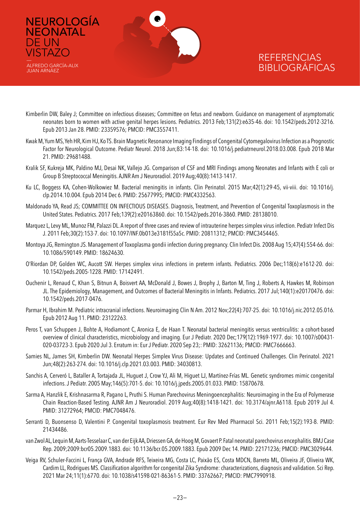

NEUROLOGÍA **NEONATAL** 

DE UN **VISTAZO** 

ALFREDO GARCÍA-ALIX JUAN ARNÁEZ

- Kimberlin DW, Baley J; Committee on infectious diseases; Committee on fetus and newborn. Guidance on management of asymptomatic neonates born to women with active genital herpes lesions. Pediatrics. 2013 Feb;131(2):e635-46. doi: 10.1542/peds.2012-3216. Epub 2013 Jan 28. PMID: 23359576; PMCID: PMC3557411.
- Kwak M, Yum MS, Yeh HR, Kim HJ, Ko TS. Brain Magnetic Resonance Imaging Findings of Congenital Cytomegalovirus Infection as a Prognostic Factor for Neurological Outcome. Pediatr Neurol. 2018 Jun;83:14-18. doi: 10.1016/j.pediatrneurol.2018.03.008. Epub 2018 Mar 21. PMID: 29681488.
- Kralik SF, Kukreja MK, Paldino MJ, Desai NK, Vallejo JG. Comparison of CSF and MRI Findings among Neonates and Infants with E coli or Group B Streptococcal Meningitis. AJNR Am J Neuroradiol. 2019 Aug;40(8):1413-1417.
- Ku LC, Boggess KA, Cohen-Wolkowiez M. Bacterial meningitis in infants. Clin Perinatol. 2015 Mar;42(1):29-45, vii-viii. doi: 10.1016/j. clp.2014.10.004. Epub 2014 Dec 6. PMID: 25677995; PMCID: PMC4332563.
- Maldonado YA, Read JS; COMMITTEE ON INFECTIOUS DISEASES. Diagnosis, Treatment, and Prevention of Congenital Toxoplasmosis in the United States. Pediatrics. 2017 Feb;139(2):e20163860. doi: 10.1542/peds.2016-3860. PMID: 28138010.
- Marquez L, Levy ML, Munoz FM, Palazzi DL. A report of three cases and review of intrauterine herpes simplex virus infection. Pediatr Infect Dis J. 2011 Feb;30(2):153-7. doi: 10.1097/INF.0b013e3181f55a5c. PMID: 20811312; PMCID: PMC3454465.
- Montoya JG, Remington JS. Management of Toxoplasma gondii infection during pregnancy. Clin Infect Dis. 2008 Aug 15;47(4):554-66. doi: 10.1086/590149. PMID: 18624630.
- O'Riordan DP, Golden WC, Aucott SW. Herpes simplex virus infections in preterm infants. Pediatrics. 2006 Dec;118(6):e1612-20. doi: 10.1542/peds.2005-1228. PMID: 17142491.
- Ouchenir L, Renaud C, Khan S, Bitnun A, Boisvert AA, McDonald J, Bowes J, Brophy J, Barton M, Ting J, Roberts A, Hawkes M, Robinson JL. The Epidemiology, Management, and Outcomes of Bacterial Meningitis in Infants. Pediatrics. 2017 Jul;140(1):e20170476. doi: 10.1542/peds.2017-0476.
- Parmar H, Ibrahim M. Pediatric intracranial infections. Neuroimaging Clin N Am. 2012 Nov;22(4):707-25. doi: 10.1016/j.nic.2012.05.016. Epub 2012 Aug 11. PMID: 23122263.
- Peros T, van Schuppen J, Bohte A, Hodiamont C, Aronica E, de Haan T. Neonatal bacterial meningitis versus ventriculitis: a cohort-based overview of clinical characteristics, microbiology and imaging. Eur J Pediatr. 2020 Dec;179(12):1969-1977. doi: 10.1007/s00431- 020-03723-3. Epub 2020 Jul 3. Erratum in: Eur J Pediatr. 2020 Sep 23;: PMID: 32621136; PMCID: PMC7666663.
- Samies NL, James SH, Kimberlin DW. Neonatal Herpes Simplex Virus Disease: Updates and Continued Challenges. Clin Perinatol. 2021 Jun;48(2):263-274. doi: 10.1016/j.clp.2021.03.003. PMID: 34030813.
- Sanchis A, Cerveró L, Bataller A, Tortajada JL, Huguet J, Crow YJ, Ali M, Higuet LJ, Martínez-Frías ML. Genetic syndromes mimic congenital infections. J Pediatr. 2005 May;146(5):701-5. doi: 10.1016/j.jpeds.2005.01.033. PMID: 15870678.
- Sarma A, Hanzlik E, Krishnasarma R, Pagano L, Pruthi S. Human Parechovirus Meningoencephalitis: Neuroimaging in the Era of Polymerase Chain Reaction-Based Testing. AJNR Am J Neuroradiol. 2019 Aug;40(8):1418-1421. doi: 10.3174/ajnr.A6118. Epub 2019 Jul 4. PMID: 31272964; PMCID: PMC7048476.
- Serranti D, Buonsenso D, Valentini P. Congenital toxoplasmosis treatment. Eur Rev Med Pharmacol Sci. 2011 Feb;15(2):193-8. PMID: 21434486.
- van Zwol AL, Lequin M, Aarts-Tesselaar C, van der Eijk AA, Driessen GA, de Hoog M, Govaert P. Fatal neonatal parechovirus encephalitis. BMJ Case Rep. 2009;2009:bcr05.2009.1883. doi: 10.1136/bcr.05.2009.1883. Epub 2009 Dec 14. PMID: 22171236; PMCID: PMC3029644.
- Veiga RV, Schuler-Faccini L, França GVA, Andrade RFS, Teixeira MG, Costa LC, Paixão ES, Costa MDCN, Barreto ML, Oliveira JF, Oliveira WK, Cardim LL, Rodrigues MS. Classification algorithm for congenital Zika Syndrome: characterizations, diagnosis and validation. Sci Rep. 2021 Mar 24;11(1):6770. doi: 10.1038/s41598-021-86361-5. PMID: 33762667; PMCID: PMC7990918.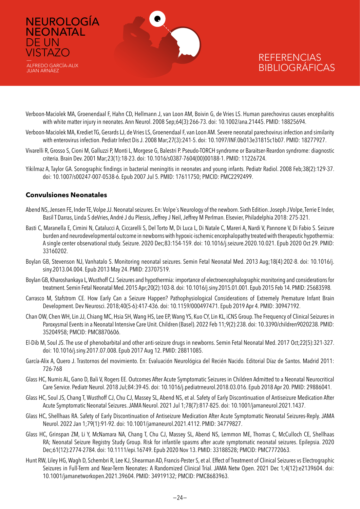

- Verboon-Maciolek MA, Groenendaal F, Hahn CD, Hellmann J, van Loon AM, Boivin G, de Vries LS. Human parechovirus causes encephalitis with white matter injury in neonates. Ann Neurol. 2008 Sep;64(3):266-73. doi: 10.1002/ana.21445. PMID: 18825694.
- Verboon-Maciolek MA, Krediet TG, Gerards LJ, de Vries LS, Groenendaal F, van Loon AM. Severe neonatal parechovirus infection and similarity with enterovirus infection. Pediatr Infect Dis J. 2008 Mar;27(3):241-5. doi: 10.1097/INF.0b013e31815c1b07. PMID: 18277927.
- Vivarelli R, Grosso S, Cioni M, Galluzzi P, Monti L, Morgese G, Balestri P. Pseudo-TORCH syndrome or Baraitser-Reardon syndrome: diagnostic criteria. Brain Dev. 2001 Mar;23(1):18-23. doi: 10.1016/s0387-7604(00)00188-1. PMID: 11226724.
- Yikilmaz A, Taylor GA. Sonographic findings in bacterial meningitis in neonates and young infants. Pediatr Radiol. 2008 Feb;38(2):129-37. doi: 10.1007/s00247-007-0538-6. Epub 2007 Jul 5. PMID: 17611750; PMCID: PMC2292499.

#### **Convulsiones Neonatales**

DE UN **VISTAZO** 

- Abend NS, Jensen FE, Inder TE, Volpe JJ. Neonatal seizures. En: Volpe´s Neurology of the newborn. Sixth Edition. Joseph J Volpe, Terrie E Inder, Basil T Darras, Linda S deVries, André J du Plessis, Jeffrey J Neil, Jeffrey M Perlman. Elsevier, Philadelphia 2018: 275-321.
- Basti C, Maranella E, Cimini N, Catalucci A, Ciccarelli S, Del Torto M, Di Luca L, Di Natale C, Mareri A, Nardi V, Pannone V, Di Fabio S. Seizure burden and neurodevelopmental outcome in newborns with hypoxic-ischemic encephalopathy treated with therapeutic hypothermia: A single center observational study. Seizure. 2020 Dec;83:154-159. doi: 10.1016/j.seizure.2020.10.021. Epub 2020 Oct 29. PMID: 33160202.
- Boylan GB, Stevenson NJ, Vanhatalo S. Monitoring neonatal seizures. Semin Fetal Neonatal Med. 2013 Aug;18(4):202-8. doi: 10.1016/j. siny.2013.04.004. Epub 2013 May 24. PMID: 23707519.
- Boylan GB, Kharoshankaya L, Wusthoff CJ. Seizures and hypothermia: importance of electroencephalographic monitoring and considerations for treatment. Semin Fetal Neonatal Med. 2015 Apr;20(2):103-8. doi: 10.1016/j.siny.2015.01.001. Epub 2015 Feb 14. PMID: 25683598.
- Carrasco M, Stafstrom CE. How Early Can a Seizure Happen? Pathophysiological Considerations of Extremely Premature Infant Brain Development. Dev Neurosci. 2018;40(5-6):417-436. doi: 10.1159/000497471. Epub 2019 Apr 4. PMID: 30947192.
- Chan OW, Chen WH, Lin JJ, Chiang MC, Hsia SH, Wang HS, Lee EP, Wang YS, Kuo CY, Lin KL, iCNS Group. The Frequency of Clinical Seizures in Paroxysmal Events in a Neonatal Intensive Care Unit. Children (Basel). 2022 Feb 11;9(2):238. doi: 10.3390/children9020238. PMID: 35204958; PMCID: PMC8870606.
- El-Dib M, Soul JS. The use of phenobarbital and other anti-seizure drugs in newborns. Semin Fetal Neonatal Med. 2017 Oct;22(5):321-327. doi: 10.1016/j.siny.2017.07.008. Epub 2017 Aug 12. PMID: 28811085.
- García-Alix A, Quero J. Trastornos del movimiento. En: Evaluación Neurológica del Recién Nacido. Editorial Díaz de Santos. Madrid 2011: 726-768
- Glass HC, Numis AL, Gano D, Bali V, Rogers EE. Outcomes After Acute Symptomatic Seizures in Children Admitted to a Neonatal Neurocritical Care Service. Pediatr Neurol. 2018 Jul;84:39-45. doi: 10.1016/j.pediatrneurol.2018.03.016. Epub 2018 Apr 20. PMID: 29886041.
- Glass HC, Soul JS, Chang T, Wusthoff CJ, Chu CJ, Massey SL, Abend NS, et al. Safety of Early Discontinuation of Antiseizure Medication After Acute Symptomatic Neonatal Seizures. JAMA Neurol. 2021 Jul 1;78(7):817-825. doi: 10.1001/jamaneurol.2021.1437.
- Glass HC, Shellhaas RA. Safety of Early Discontinuation of Antiseizure Medication After Acute Symptomatic Neonatal Seizures-Reply. JAMA Neurol. 2022 Jan 1;79(1):91-92. doi: 10.1001/jamaneurol.2021.4112. PMID: 34779827.
- Glass HC, Grinspan ZM, Li Y, McNamara NA, Chang T, Chu CJ, Massey SL, Abend NS, Lemmon ME, Thomas C, McCulloch CE, Shellhaas RA; Neonatal Seizure Registry Study Group. Risk for infantile spasms after acute symptomatic neonatal seizures. Epilepsia. 2020 Dec;61(12):2774-2784. doi: 10.1111/epi.16749. Epub 2020 Nov 13. PMID: 33188528; PMCID: PMC7772063.
- Hunt RW, Liley HG, Wagh D, Schembri R, Lee KJ, Shearman AD, Francis-Pester S, et al. Effect of Treatment of Clinical Seizures vs Electrographic Seizures in Full-Term and Near-Term Neonates: A Randomized Clinical Trial. JAMA Netw Open. 2021 Dec 1;4(12):e2139604. doi: 10.1001/jamanetworkopen.2021.39604. PMID: 34919132; PMCID: PMC8683963.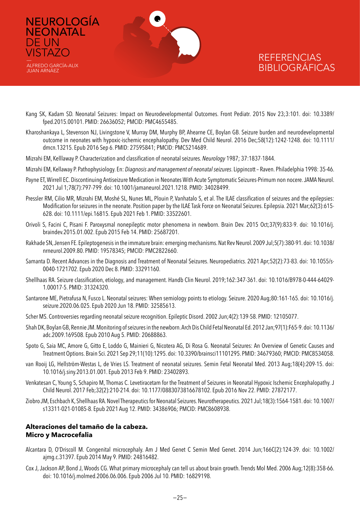

ALFREDO GARCÍA-ALIX JUAN ARNÁEZ

DE UN **VISTAZO** 

### **REFERENCIAS** BIBLIOGRÁFICAS

- Kang SK, Kadam SD. Neonatal Seizures: Impact on Neurodevelopmental Outcomes. Front Pediatr. 2015 Nov 23;3:101. doi: 10.3389/ fped.2015.00101. PMID: 26636052; PMCID: PMC4655485.
- Kharoshankaya L, Stevenson NJ, Livingstone V, Murray DM, Murphy BP, Ahearne CE, Boylan GB. Seizure burden and neurodevelopmental outcome in neonates with hypoxic-ischemic encephalopathy. Dev Med Child Neurol. 2016 Dec;58(12):1242-1248. doi: 10.1111/ dmcn.13215. Epub 2016 Sep 6. PMID: 27595841; PMCID: PMC5214689.
- Mizrahi EM, Kelllaway P. Characterization and classification of neonatal seizures. *Neurology* 1987; 37:1837-1844.
- Mizrahi EM, Kellaway P. Pathophysiology. En: *Diagnosis and management of neonatal seizures*. Lippincott Raven. Philadelphia 1998: 35-46.
- Payne ET, Wirrell EC. Discontinuing Antiseizure Medication in Neonates With Acute Symptomatic Seizures-Primum non nocere. JAMA Neurol. 2021 Jul 1;78(7):797-799. doi: 10.1001/jamaneurol.2021.1218. PMID: 34028499.
- Pressler RM, Cilio MR, Mizrahi EM, Moshé SL, Nunes ML, Plouin P, Vanhatalo S, et al. The ILAE classification of seizures and the epilepsies: Modification for seizures in the neonate. Position paper by the ILAE Task Force on Neonatal Seizures. Epilepsia. 2021 Mar;62(3):615- 628. doi: 10.1111/epi.16815. Epub 2021 Feb 1. PMID: 33522601.
- Orivoli S, Facini C, Pisani F. Paroxysmal nonepileptic motor phenomena in newborn. Brain Dev. 2015 Oct;37(9):833-9. doi: 10.1016/j. braindev.2015.01.002. Epub 2015 Feb 14. PMID: 25687201.
- Rakhade SN, Jensen FE. Epileptogenesis in the immature brain: emerging mechanisms. Nat Rev Neurol. 2009 Jul;5(7):380-91. doi: 10.1038/ nrneurol.2009.80. PMID: 19578345; PMCID: PMC2822660.
- Samanta D. Recent Advances in the Diagnosis and Treatment of Neonatal Seizures. Neuropediatrics. 2021 Apr;52(2):73-83. doi: 10.1055/s-0040-1721702. Epub 2020 Dec 8. PMID: 33291160.
- Shellhaas RA. Seizure classification, etiology, and management. Handb Clin Neurol. 2019;162:347-361. doi: 10.1016/B978-0-444-64029- 1.00017-5. PMID: 31324320.
- Santarone ME, Pietrafusa N, Fusco L. Neonatal seizures: When semiology points to etiology. Seizure. 2020 Aug;80:161-165. doi: 10.1016/j. seizure.2020.06.025. Epub 2020 Jun 18. PMID: 32585613.
- Scher MS. Controversies regarding neonatal seizure recognition. Epileptic Disord. 2002 Jun;4(2):139-58. PMID: 12105077.
- Shah DK, Boylan GB, Rennie JM. Monitoring of seizures in the newborn. Arch Dis Child Fetal Neonatal Ed. 2012 Jan;97(1):F65-9. doi: 10.1136/ adc.2009.169508. Epub 2010 Aug 5. PMID: 20688863.
- Spoto G, Saia MC, Amore G, Gitto E, Loddo G, Mainieri G, Nicotera AG, Di Rosa G. Neonatal Seizures: An Overview of Genetic Causes and Treatment Options. Brain Sci. 2021 Sep 29;11(10):1295. doi: 10.3390/brainsci11101295. PMID: 34679360; PMCID: PMC8534058.
- van Rooij LG, Hellström-Westas L, de Vries LS. Treatment of neonatal seizures. Semin Fetal Neonatal Med. 2013 Aug;18(4):209-15. doi: 10.1016/j.siny.2013.01.001. Epub 2013 Feb 9. PMID: 23402893.
- Venkatesan C, Young S, Schapiro M, Thomas C. Levetiracetam for the Treatment of Seizures in Neonatal Hypoxic Ischemic Encephalopathy. J Child Neurol. 2017 Feb;32(2):210-214. doi: 10.1177/0883073816678102. Epub 2016 Nov 22. PMID: 27872177.
- Ziobro JM, Eschbach K, Shellhaas RA. Novel Therapeutics for Neonatal Seizures. Neurotherapeutics. 2021 Jul;18(3):1564-1581. doi: 10.1007/ s13311-021-01085-8. Epub 2021 Aug 12. PMID: 34386906; PMCID: PMC8608938.

#### **Alteraciones del tamaño de la cabeza. Micro y Macrocefalia**

- Alcantara D, O'Driscoll M. Congenital microcephaly. Am J Med Genet C Semin Med Genet. 2014 Jun;166C(2):124-39. doi: 10.1002/ ajmg.c.31397. Epub 2014 May 9. PMID: 24816482.
- Cox J, Jackson AP, Bond J, Woods CG. What primary microcephaly can tell us about brain growth. Trends Mol Med. 2006 Aug;12(8):358-66. doi: 10.1016/j.molmed.2006.06.006. Epub 2006 Jul 10. PMID: 16829198.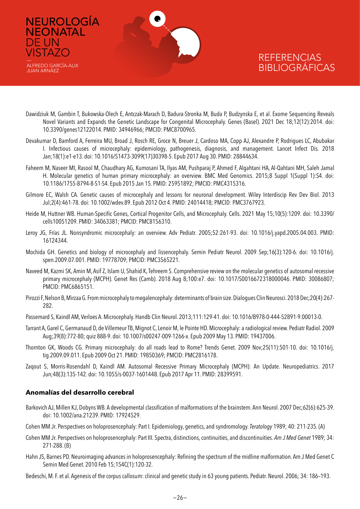

- Dawidziuk M, Gambin T, Bukowska-Olech E, Antczak-Marach D, Badura-Stronka M, Buda P, Budzynska E, et al. Exome Sequencing Reveals Novel Variants and Expands the Genetic Landscape for Congenital Microcephaly. Genes (Basel). 2021 Dec 18;12(12):2014. doi: 10.3390/genes12122014. PMID: 34946966; PMCID: PMC8700965.
- Devakumar D, Bamford A, Ferreira MU, Broad J, Rosch RE, Groce N, Breuer J, Cardoso MA, Copp AJ, Alexandre P, Rodrigues LC, Abubakar I. Infectious causes of microcephaly: epidemiology, pathogenesis, diagnosis, and management. Lancet Infect Dis. 2018 Jan;18(1):e1-e13. doi: 10.1016/S1473-3099(17)30398-5. Epub 2017 Aug 30. PMID: 28844634.
- Faheem M, Naseer MI, Rasool M, Chaudhary AG, Kumosani TA, Ilyas AM, Pushparaj P, Ahmed F, Algahtani HA, Al-Qahtani MH, Saleh Jamal H. Molecular genetics of human primary microcephaly: an overview. BMC Med Genomics. 2015;8 Suppl 1(Suppl 1):S4. doi: 10.1186/1755-8794-8-S1-S4. Epub 2015 Jan 15. PMID: 25951892; PMCID: PMC4315316.
- Gilmore EC, Walsh CA. Genetic causes of microcephaly and lessons for neuronal development. Wiley Interdiscip Rev Dev Biol. 2013 Jul;2(4):461-78. doi: 10.1002/wdev.89. Epub 2012 Oct 4. PMID: 24014418; PMCID: PMC3767923.
- Heide M, Huttner WB. Human-Specific Genes, Cortical Progenitor Cells, and Microcephaly. Cells. 2021 May 15;10(5):1209. doi: 10.3390/ cells10051209. PMID: 34063381; PMCID: PMC8156310.
- Leroy JG, Frías JL. Nonsyndromic microcephaly: an overview. Adv Pediatr. 2005;52:261-93. doi: 10.1016/j.yapd.2005.04.003. PMID: 16124344.
- Mochida GH. Genetics and biology of microcephaly and lissencephaly. Semin Pediatr Neurol. 2009 Sep;16(3):120-6. doi: 10.1016/j. spen.2009.07.001. PMID: 19778709; PMCID: PMC3565221.
- Naveed M, Kazmi SK, Amin M, Asif Z, Islam U, Shahid K, Tehreem S. Comprehensive review on the molecular genetics of autosomal recessive primary microcephaly (MCPH). Genet Res (Camb). 2018 Aug 8;100:e7. doi: 10.1017/S0016672318000046. PMID: 30086807; PMCID: PMC6865151.
- Pirozzi F, Nelson B, Mirzaa G. From microcephaly to megalencephaly: determinants of brain size. Dialogues Clin Neurosci. 2018 Dec;20(4):267- 282.
- Passemard S, Kaindl AM, Verloes A. Microcephaly. Handb Clin Neurol. 2013;111:129-41. doi: 10.1016/B978-0-444-52891-9.00013-0.
- Tarrant A, Garel C, Germanaud D, de Villemeur TB, Mignot C, Lenoir M, le Pointe HD. Microcephaly: a radiological review. Pediatr Radiol. 2009 Aug;39(8):772-80; quiz 888-9. doi: 10.1007/s00247-009-1266-x. Epub 2009 May 13. PMID: 19437006.
- Thornton GK, Woods CG. Primary microcephaly: do all roads lead to Rome? Trends Genet. 2009 Nov;25(11):501-10. doi: 10.1016/j. tig.2009.09.011. Epub 2009 Oct 21. PMID: 19850369; PMCID: PMC2816178.
- Zaqout S, Morris-Rosendahl D, Kaindl AM. Autosomal Recessive Primary Microcephaly (MCPH): An Update. Neuropediatrics. 2017 Jun;48(3):135-142. doi: 10.1055/s-0037-1601448. Epub 2017 Apr 11. PMID: 28399591.

### **Anomalías del desarrollo cerebral**

**NEONATAL** 

ALFREDO GARCÍA-ALIX JUAN ARNÁEZ

DE UN **VISTAZO** 

- Barkovich AJ, Millen KJ, Dobyns WB. A developmental classification of malformations of the brainstem. Ann Neurol. 2007 Dec;62(6):625-39. doi: 10.1002/ana.21239. PMID: 17924529.
- Cohen MM Jr. Perspectives on holoprosencephaly: Part I. Epidemiology, genetics, and syndromology. *Teratology* 1989; 40: 211-235. (A)
- Cohen MM Jr. Perspectives on holoprosencephaly: Part III. Spectra, distinctions, continuities, and discontinuities. *Am J Med Genet* 1989; 34: 271-288. (B)
- Hahn JS, Barnes PD. Neuroimaging advances in holoprosencephaly: Refining the spectrum of the midline malformation. Am J Med Genet C Semin Med Genet. 2010 Feb 15;154C(1):120-32.

Bedeschi, M. F. et al. Agenesis of the corpus callosum: clinical and genetic study in 63 young patients. Pediatr. Neurol. 2006; 34: 186–193.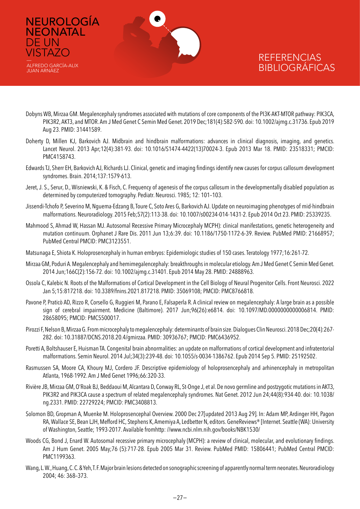

NEUROLOGÍA

**NEONATAL** 

ALFREDO GARCÍA-ALIX JUAN ARNÁEZ

DE UN **VISTAZO** 

- Dobyns WB, Mirzaa GM. Megalencephaly syndromes associated with mutations of core components of the PI3K-AKT-MTOR pathway: PIK3CA, PIK3R2, AKT3, and MTOR. Am J Med Genet C Semin Med Genet. 2019 Dec;181(4):582-590. doi: 10.1002/ajmg.c.31736. Epub 2019 Aug 23. PMID: 31441589.
- Doherty D, Millen KJ, Barkovich AJ. Midbrain and hindbrain malformations: advances in clinical diagnosis, imaging, and genetics. Lancet Neurol. 2013 Apr;12(4):381-93. doi: 10.1016/S1474-4422(13)70024-3. Epub 2013 Mar 18. PMID: 23518331; PMCID: PMC4158743.
- Edwards TJ, Sherr EH, Barkovich AJ, Richards LJ. Clinical, genetic and imaging findings identify new causes for corpus callosum development syndromes. Brain. 2014;137:1579-613.
- Jeret, J. S., Serur, D., Wisniewski, K. & Fisch, C. Frequency of agenesis of the corpus callosum in the developmentally disabled population as determined by computerized tomography. Pediatr. Neurosci. 1985; 12: 101–103.
- Jissendi-Tchofo P, Severino M, Nguema-Edzang B, Toure C, Soto Ares G, Barkovich AJ. Update on neuroimaging phenotypes of mid-hindbrain malformations. Neuroradiology. 2015 Feb;57(2):113-38. doi: 10.1007/s00234-014-1431-2. Epub 2014 Oct 23. PMID: 25339235.
- Mahmood S, Ahmad W, Hassan MJ. Autosomal Recessive Primary Microcephaly MCPH): clinical manifestations, genetic heterogeneity and mutation continuum. Orphanet J Rare Dis. 2011 Jun 13;6:39. doi: 10.1186/1750-1172-6-39. Review. PubMed PMID: 21668957; PubMed Central PMCID: PMC3123551.
- Matsunaga E, Shiota K. Holoprosencephaly in human embryos: Epidemiologic studies of 150 cases. Teratology 1977;16:261-72.
- Mirzaa GM, Poduri A. Megalencephaly and hemimegalencephaly: breakthroughs in molecular etiology. Am J Med Genet C Semin Med Genet. 2014 Jun;166C(2):156-72. doi: 10.1002/ajmg.c.31401. Epub 2014 May 28. PMID: 24888963.
- Ossola C, Kalebic N. Roots of the Malformations of Cortical Development in the Cell Biology of Neural Progenitor Cells. Front Neurosci. 2022 Jan 5;15:817218. doi: 10.3389/fnins.2021.817218. PMID: 35069108; PMCID: PMC8766818.
- Pavone P, Praticò AD, Rizzo R, Corsello G, Ruggieri M, Parano E, Falsaperla R. A clinical review on megalencephaly: A large brain as a possible sign of cerebral impairment. Medicine (Baltimore). 2017 Jun;96(26):e6814. doi: 10.1097/MD.0000000000006814. PMID: 28658095; PMCID: PMC5500017.
- Pirozzi F, Nelson B, Mirzaa G. From microcephaly to megalencephaly: determinants of brain size. Dialogues Clin Neurosci. 2018 Dec;20(4):267- 282. doi: 10.31887/DCNS.2018.20.4/gmirzaa. PMID: 30936767; PMCID: PMC6436952.
- Poretti A, Boltshauser E, Huisman TA. Congenital brain abnormalities: an update on malformations of cortical development and infratentorial malformations. Semin Neurol. 2014 Jul;34(3):239-48. doi: 10.1055/s-0034-1386762. Epub 2014 Sep 5. PMID: 25192502.
- Rasmussen SA, Moore CA, Khoury MJ, Cordero JF. Descriptive epidemiology of holoprosencephaly and arhinencephaly in metropolitan Atlanta, 1968-1992. Am J Med Genet 1996;66:320-33.
- Rivière JB, Mirzaa GM, O'Roak BJ, Beddaoui M, Alcantara D, Conway RL, St-Onge J, et al. De novo germline and postzygotic mutations in AKT3, PIK3R2 and PIK3CA cause a spectrum of related megalencephaly syndromes. Nat Genet. 2012 Jun 24;44(8):934-40. doi: 10.1038/ ng.2331. PMID: 22729224; PMCID: PMC3408813.
- Solomon BD, Gropman A, Muenke M. Holoprosencephal Overview. 2000 Dec 27[updated 2013 Aug 29]. In: Adam MP, Ardinger HH, Pagon RA, Wallace SE, Bean LJH, Mefford HC, Stephens K, Amemiya A, Ledbetter N, editors. GeneReviews® [Internet. Seattle (WA): University of Washington, Seattle; 1993-2017. Available fromhttp: //www.ncbi.nlm.nih.gov/books/NBK1530/
- Woods CG, Bond J, Enard W. Autosomal recessive primary microcephaly (MCPH): a review of clinical, molecular, and evolutionary findings. Am J Hum Genet. 2005 May;76 (5):717-28. Epub 2005 Mar 31. Review. PubMed PMID: 15806441; PubMed Central PMCID: PMC1199363.
- Wang, L. W., Huang, C. C. & Yeh, T. F. Major brain lesions detected on sonographic screening of apparently normal term neonates. Neuroradiology 2004; 46: 368–373.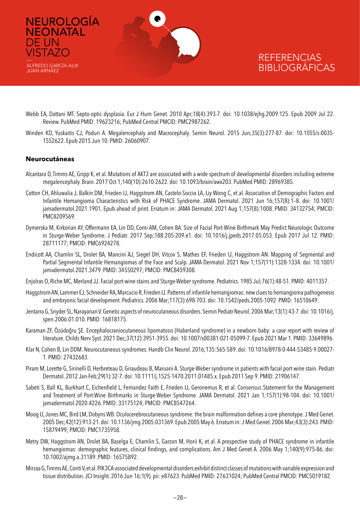

- Webb EA, Dattani MT. Septo-optic dysplasia. Eur J Hum Genet. 2010 Apr;18(4):393-7. doi: 10.1038/ejhg.2009.125. Epub 2009 Jul 22. Review. PubMed PMID: 19623216; PubMed Central PMCID: PMC2987262.
- Winden KD, Yuskaitis CJ, Poduri A. Megalencephaly and Macrocephaly. Semin Neurol. 2015 Jun;35(3):277-87. doi: 10.1055/s-0035- 1552622. Epub 2015 Jun 10. PMID: 26060907.

#### **Neurocutáneas**

- Alcantara D, Timms AE, Gripp K, et al. Mutations of AKT3 are associated with a wide spectrum of developmental disorders including extreme megalencephaly. Brain. 2017 Oct 1;140(10):2610-2622. doi: 10.1093/brain/awx203. PubMed PMID: 28969385.
- Cotton CH, Ahluwalia J, Balkin DM, Frieden IJ, Haggstrom AN, Castelo-Soccio LA, Liy-Wong C, et al. Association of Demographic Factors and Infantile Hemangioma Characteristics with Risk of PHACE Syndrome. JAMA Dermatol. 2021 Jun 16;157(8):1–8. doi: 10.1001/ jamadermatol.2021.1901. Epub ahead of print. Erratum in: JAMA Dermatol. 2021 Aug 1;157(8):1008. PMID: 34132754; PMCID: PMC8209569.
- Dymerska M, Kirkorian AY, Offermann EA, Lin DD, Comi AM, Cohen BA. Size of Facial Port-Wine Birthmark May Predict Neurologic Outcome in Sturge-Weber Syndrome. J Pediatr. 2017 Sep;188:205-209.e1. doi: 10.1016/j.jpeds.2017.05.053. Epub 2017 Jul 12. PMID: 28711177; PMCID: PMC6924278.
- Endicott AA, Chamlin SL, Drolet BA, Mancini AJ, Siegel DH, Vitcov S, Mathes EF, Frieden IJ, Haggstrom AN. Mapping of Segmental and Partial Segmental Infantile Hemangiomas of the Face and Scalp. JAMA Dermatol. 2021 Nov 1;157(11):1328-1334. doi: 10.1001/ jamadermatol.2021.3479. PMID: 34550297; PMCID: PMC8459308.
- Enjolras O, Riche MC, Merland JJ. Facial port-wine stains and Sturge-Weber syndrome. Pediatrics. 1985 Jul;76(1):48-51. PMID: 4011357.
- Haggstrom AN, Lammer EJ, Schneider RA, Marcucio R, Frieden IJ. Patterns of infantile hemangiomas: new clues to hemangioma pathogenesis and embryonic facial development. Pediatrics. 2006 Mar;117(3):698-703. doi: 10.1542/peds.2005-1092. PMID: 16510649.
- Jentarra G, Snyder SL, Narayanan V. Genetic aspects of neurocutaneous disorders. Semin Pediatr Neurol. 2006 Mar;13(1):43-7. doi: 10.1016/j. spen.2006.01.010. PMID: 16818175.
- Karaman ZF, Özüdoğru ŞE. Encephalocraniocutaneous lipomatosıs (Haberland syndrome) in a newborn baby: a case report with review of literature. Childs Nerv Syst. 2021 Dec;37(12):3951-3955. doi: 10.1007/s00381-021-05099-7. Epub 2021 Mar 1. PMID: 33649896.
- Klar N, Cohen B, Lin DDM. Neurocutaneous syndromes. Handb Clin Neurol. 2016;135:565-589. doi: 10.1016/B978-0-444-53485-9.00027- 1. PMID: 27432683.
- Piram M, Lorette G, Sirinelli D, Herbreteau D, Giraudeau B, Maruani A. Sturge-Weber syndrome in patients with facial port-wine stain. Pediatr Dermatol. 2012 Jan-Feb;29(1):32-7. doi: 10.1111/j.1525-1470.2011.01485.x. Epub 2011 Sep 9. PMID: 21906147.
- Sabeti S, Ball KL, Burkhart C, Eichenfield L, Fernandez Faith E, Frieden IJ, Geronemus R, et al. Consensus Statement for the Management and Treatment of Port-Wine Birthmarks in Sturge-Weber Syndrome. JAMA Dermatol. 2021 Jan 1;157(1):98-104. doi: 10.1001/ jamadermatol.2020.4226. PMID: 33175124; PMCID: PMC8547264.
- Moog U, Jones MC, Bird LM, Dobyns WB. Oculocerebrocutaneous syndrome: the brain malformation defines a core phenotype. J Med Genet. 2005 Dec;42(12):913-21. doi: 10.1136/jmg.2005.031369. Epub 2005 May 6. Erratum in: J Med Genet. 2006 Mar;43(3):243. PMID: 15879499; PMCID: PMC1735958.
- Metry DW, Haggstrom AN, Drolet BA, Baselga E, Chamlin S, Garzon M, Horii K, et al. A prospective study of PHACE syndrome in infantile hemangiomas: demographic features, clinical findings, and complications. Am J Med Genet A. 2006 May 1;140(9):975-86. doi: 10.1002/ajmg.a.31189. PMID: 16575892.
- Mirzaa G, Timms AE, Conti V, et al. PIK3CA-associated developmental disorders exhibit distinct classes of mutations with variable expression and tissue distribution. JCI Insight. 2016 Jun 16;1(9). pii: e87623. PubMed PMID: 27631024; PubMed Central PMCID: PMC5019182.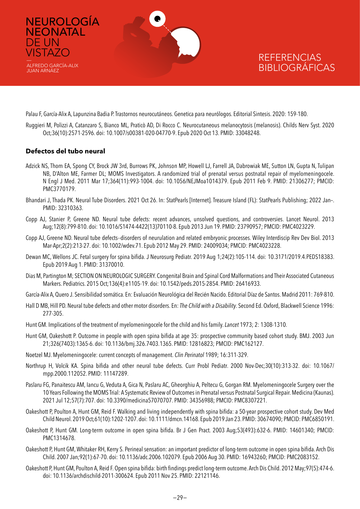

Palau F, García-Alix A, Lapunzina Badia P. Trastornos neurocutáneos. Genetica para neurólogos. Editorial Sintesis. 2020: 159-180.

Ruggieri M, Polizzi A, Catanzaro S, Bianco ML, Praticò AD, Di Rocco C. Neurocutaneous melanocytosis (melanosis). Childs Nerv Syst. 2020 Oct;36(10):2571-2596. doi: 10.1007/s00381-020-04770-9. Epub 2020 Oct 13. PMID: 33048248.

#### **Defectos del tubo neural**

- Adzick NS, Thom EA, Spong CY, Brock JW 3rd, Burrows PK, Johnson MP, Howell LJ, Farrell JA, Dabrowiak ME, Sutton LN, Gupta N, Tulipan NB, D'Alton ME, Farmer DL; MOMS Investigators. A randomized trial of prenatal versus postnatal repair of myelomeningocele. N Engl J Med. 2011 Mar 17;364(11):993-1004. doi: 10.1056/NEJMoa1014379. Epub 2011 Feb 9. PMID: 21306277; PMCID: PMC3770179.
- Bhandari J, Thada PK. Neural Tube Disorders. 2021 Oct 26. In: StatPearls [Internet]. Treasure Island (FL): StatPearls Publishing; 2022 Jan–. PMID: 32310363.
- Copp AJ, Stanier P, Greene ND. Neural tube defects: recent advances, unsolved questions, and controversies. Lancet Neurol. 2013 Aug;12(8):799-810. doi: 10.1016/S1474-4422(13)70110-8. Epub 2013 Jun 19. PMID: 23790957; PMCID: PMC4023229.
- Copp AJ, Greene ND. Neural tube defects--disorders of neurulation and related embryonic processes. Wiley Interdiscip Rev Dev Biol. 2013 Mar-Apr;2(2):213-27. doi: 10.1002/wdev.71. Epub 2012 May 29. PMID: 24009034; PMCID: PMC4023228.
- Dewan MC, Wellons JC. Fetal surgery for spina bifida. J Neurosurg Pediatr. 2019 Aug 1;24(2):105-114. doi: 10.3171/2019.4.PEDS18383. Epub 2019 Aug 1. PMID: 31370010.
- Dias M, Partington M; SECTION ON NEUROLOGIC SURGERY. Congenital Brain and Spinal Cord Malformations and Their Associated Cutaneous Markers. Pediatrics. 2015 Oct;136(4):e1105-19. doi: 10.1542/peds.2015-2854. PMID: 26416933.
- García-Alix A, Quero J. Sensibilidad somática. En: Evaluación Neurológica del Recién Nacido. Editorial Díaz de Santos. Madrid 2011: 769-810.
- Hall D MB, Hill PD. Neural tube defects and other motor disorders. En: *The Child with a Disability*. Second Ed. Oxford, Blackwell Science 1996: 277-305.
- Hunt GM. Implications of the treatment of myelomeningocele for the child and his family. *Lancet* 1973; 2: 1308-1310.
- Hunt GM, Oakeshott P. Outcome in people with open spina bifida at age 35: prospective community based cohort study. BMJ. 2003 Jun 21;326(7403):1365-6. doi: 10.1136/bmj.326.7403.1365. PMID: 12816823; PMCID: PMC162127.
- Noetzel MJ. Myelomeningocele: current concepts of management. *Clin Perinatol* 1989; 16:311-329.
- Northrup H, Volcik KA. Spina bifida and other neural tube defects. Curr Probl Pediatr. 2000 Nov-Dec;30(10):313-32. doi: 10.1067/ mpp.2000.112052. PMID: 11147289.
- Paslaru FG, Panaitescu AM, Iancu G, Veduta A, Gica N, Paslaru AC, Gheorghiu A, Peltecu G, Gorgan RM. Myelomeningocele Surgery over the 10 Years Following the MOMS Trial: A Systematic Review of Outcomes in Prenatal versus Postnatal Surgical Repair. Medicina (Kaunas). 2021 Jul 12;57(7):707. doi: 10.3390/medicina57070707. PMID: 34356988; PMCID: PMC8307221.
- Oakeshott P, Poulton A, Hunt GM, Reid F. Walking and living independently with spina bifida: a 50-year prospective cohort study. Dev Med Child Neurol. 2019 Oct;61(10):1202-1207. doi: 10.1111/dmcn.14168. Epub 2019 Jan 23. PMID: 30674090; PMCID: PMC6850191.
- Oakeshott P, Hunt GM. Long-term outcome in open spina bifida. Br J Gen Pract. 2003 Aug;53(493):632-6. PMID: 14601340; PMCID: PMC1314678.
- Oakeshott P, Hunt GM, Whitaker RH, Kerry S. Perineal sensation: an important predictor of long-term outcome in open spina bifida. Arch Dis Child. 2007 Jan;92(1):67-70. doi: 10.1136/adc.2006.102079. Epub 2006 Aug 30. PMID: 16943260; PMCID: PMC2083152.
- Oakeshott P, Hunt GM, Poulton A, Reid F. Open spina bifida: birth findings predict long-term outcome. Arch Dis Child. 2012 May;97(5):474-6. doi: 10.1136/archdischild-2011-300624. Epub 2011 Nov 25. PMID: 22121146.